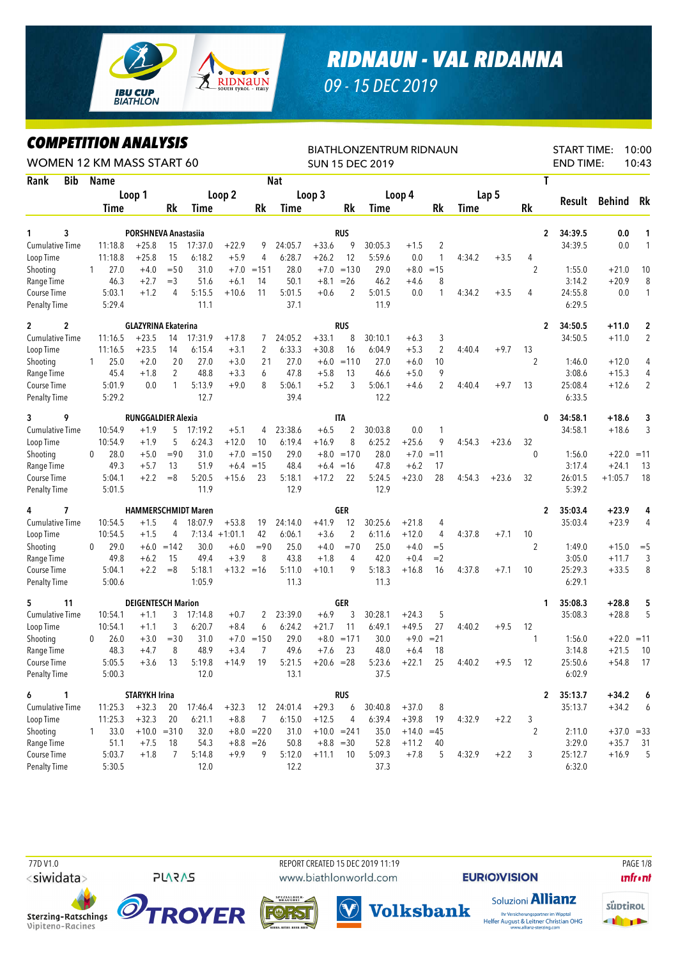

## *RIDNAUN - VAL RIDANNA*

*09 - 15 DEC 2019*

## *COMPETITION ANALYSIS*

|                                    |                | <i><b>COMPEILION ANALYSIS</b></i><br>WOMEN 12 KM MASS START 60 |                            |               |                |                  |              |                |               |                | <b>BIATHLONZENTRUM RIDNAUN</b><br><b>SUN 15 DEC 2019</b> |              |                |        |         |                | <b>START TIME:</b><br><b>END TIME:</b> |           | 10:00<br>10:43   |
|------------------------------------|----------------|----------------------------------------------------------------|----------------------------|---------------|----------------|------------------|--------------|----------------|---------------|----------------|----------------------------------------------------------|--------------|----------------|--------|---------|----------------|----------------------------------------|-----------|------------------|
| Rank                               | <b>Bib</b>     | <b>Name</b>                                                    |                            |               |                |                  |              | <b>Nat</b>     |               |                |                                                          |              |                |        |         | T              |                                        |           |                  |
|                                    |                |                                                                | Loop 1                     |               |                | Loop 2           |              |                | Loop 3        |                |                                                          | Loop 4       |                |        | Lap 5   |                |                                        |           |                  |
|                                    |                | <b>Time</b>                                                    |                            | Rk            | Time           |                  | Rk           | Time           |               | Rk             | Time                                                     |              | Rk             | Time   |         | Rk             | Result                                 | Behind    | Rk               |
|                                    |                |                                                                |                            |               |                |                  |              |                |               |                |                                                          |              |                |        |         |                |                                        |           |                  |
| 1                                  | 3              |                                                                | PORSHNEVA Anastasiia       |               |                |                  |              |                |               | <b>RUS</b>     |                                                          |              |                |        |         | 2              | 34:39.5                                | 0.0       | 1                |
| <b>Cumulative Time</b>             |                | 11:18.8                                                        | $+25.8$                    | 15            | 17:37.0        | $+22.9$          | 9            | 24:05.7        | $+33.6$       | 9              | 30:05.3                                                  | $+1.5$       | $\overline{c}$ |        |         |                | 34:39.5                                | 0.0       | 1                |
| Loop Time                          |                | 11:18.8                                                        | $+25.8$                    | 15            | 6:18.2         | $+5.9$           | 4            | 6:28.7         | $+26.2$       | 12             | 5:59.6                                                   | 0.0          | $\mathbf{1}$   | 4:34.2 | $+3.5$  | 4              |                                        |           |                  |
| Shooting                           |                | 27.0<br>1                                                      | $+4.0$                     | $=$ 50        | 31.0           | $+7.0$           | $=151$       | 28.0           | $+7.0$        | $=130$         | 29.0                                                     | $+8.0$       | $=15$          |        |         | $\overline{2}$ | 1:55.0                                 | $+21.0$   | 10               |
| Range Time                         |                | 46.3                                                           | $+2.7$                     | $=$ 3         | 51.6           | $+6.1$           | 14           | 50.1           | $+8.1$        | $=26$          | 46.2                                                     | $+4.6$       | 8              |        |         |                | 3:14.2                                 | $+20.9$   | 8                |
| Course Time<br><b>Penalty Time</b> |                | 5:03.1<br>5:29.4                                               | $+1.2$                     | 4             | 5:15.5<br>11.1 | $+10.6$          | 11           | 5:01.5<br>37.1 | $+0.6$        | 2              | 5:01.5<br>11.9                                           | 0.0          | $\mathbf{1}$   | 4:34.2 | $+3.5$  | 4              | 24:55.8<br>6:29.5                      | 0.0       | 1                |
| $\mathbf{2}$                       | $\overline{c}$ |                                                                | <b>GLAZYRINA Ekaterina</b> |               |                |                  |              |                |               | <b>RUS</b>     |                                                          |              |                |        |         | 2              | 34:50.5                                | $+11.0$   | $\boldsymbol{2}$ |
| <b>Cumulative Time</b>             |                | 11:16.5                                                        | $+23.5$                    | 14            | 17:31.9        | $+17.8$          | 7            | 24:05.2        | $+33.1$       | 8              | 30:10.1                                                  | $+6.3$       | 3              |        |         |                | 34:50.5                                | $+11.0$   | $\overline{2}$   |
| Loop Time                          |                | 11:16.5                                                        | $+23.5$                    | 14            | 6:15.4         | $+3.1$           | 2            | 6:33.3         | $+30.8$       | 16             | 6:04.9                                                   | $+5.3$       | 2              | 4:40.4 | $+9.7$  | 13             |                                        |           |                  |
| Shooting                           |                | 25.0<br>1                                                      | $+2.0$                     | 20            | 27.0           | $+3.0$           | 21           | 27.0           | $+6.0$        | $=110$         | 27.0                                                     | $+6.0$       | 10             |        |         | $\overline{2}$ | 1:46.0                                 | $+12.0$   | 4                |
| Range Time                         |                | 45.4                                                           | $+1.8$                     | 2             | 48.8           | $+3.3$           | 6            | 47.8           | $+5.8$        | 13             | 46.6                                                     | $+5.0$       | 9              |        |         |                | 3:08.6                                 | $+15.3$   | 4                |
| Course Time                        |                | 5:01.9                                                         | 0.0                        | $\mathbf{1}$  | 5:13.9         | $+9.0$           | 8            | 5:06.1         | $+5.2$        | 3              | 5:06.1                                                   | $+4.6$       | $\overline{2}$ | 4:40.4 | $+9.7$  | 13             | 25:08.4                                | $+12.6$   | $\overline{2}$   |
| <b>Penalty Time</b>                |                | 5:29.2                                                         |                            |               | 12.7           |                  |              | 39.4           |               |                | 12.2                                                     |              |                |        |         |                | 6:33.5                                 |           |                  |
| 3                                  | 9              |                                                                | <b>RUNGGALDIER Alexia</b>  |               |                |                  |              |                |               | <b>ITA</b>     |                                                          |              |                |        |         | 0              | 34:58.1                                | $+18.6$   | 3                |
| Cumulative Time                    |                | 10:54.9                                                        | $+1.9$                     | 5             | 17:19.2        | $+5.1$           | 4            | 23:38.6        | $+6.5$        | 2              | 30:03.8                                                  | 0.0          | 1              |        |         |                | 34:58.1                                | $+18.6$   | 3                |
| Loop Time                          |                | 10:54.9                                                        | $+1.9$                     | 5             | 6:24.3         | $+12.0$          | 10           | 6:19.4         | $+16.9$       | 8              | 6:25.2                                                   | $+25.6$      | 9              | 4:54.3 | $+23.6$ | 32             |                                        |           |                  |
| Shooting                           |                | 28.0<br>0                                                      | $+5.0$                     | $=90$         | 31.0           | $+7.0$           | $=150$       | 29.0           | $+8.0$        | $=170$         | 28.0                                                     | $+7.0$       | $=11$          |        |         | $\mathbf{0}$   | 1:56.0                                 | $+22.0$   | $=11$            |
| Range Time                         |                | 49.3                                                           | $+5.7$                     | 13            | 51.9           | $+6.4$           | $=15$        | 48.4           |               | $+6.4 = 16$    | 47.8                                                     | $+6.2$       | 17             |        |         |                | 3:17.4                                 | $+24.1$   | 13               |
| Course Time                        |                | 5:04.1                                                         | $+2.2$                     | $=8$          | 5:20.5         | $+15.6$          | 23           | 5:18.1         | $+17.2$       | 22             | 5:24.5                                                   | $+23.0$      | 28             | 4:54.3 | $+23.6$ | 32             | 26:01.5                                | $+1:05.7$ | 18               |
| <b>Penalty Time</b>                |                | 5:01.5                                                         |                            |               | 11.9           |                  |              | 12.9           |               |                | 12.9                                                     |              |                |        |         |                | 5:39.2                                 |           |                  |
| 4                                  | 7              |                                                                | <b>HAMMERSCHMIDT Maren</b> |               |                |                  |              |                |               | GER            |                                                          |              |                |        |         | $\mathbf{2}$   | 35:03.4                                | $+23.9$   | 4                |
| Cumulative Time                    |                | 10:54.5                                                        | $+1.5$                     | 4             | 18:07.9        | $+53.8$          | 19           | 24:14.0        | $+41.9$       | 12             | 30:25.6                                                  | $+21.8$      | 4              |        |         |                | 35:03.4                                | $+23.9$   | $\overline{4}$   |
| Loop Time                          |                | 10:54.5                                                        | $+1.5$                     | 4             |                | $7:13.4 +1:01.1$ | 42           | 6:06.1         | $+3.6$        | $\overline{2}$ | 6:11.6                                                   | $+12.0$      | 4              | 4:37.8 | $+7.1$  | 10             |                                        |           |                  |
| Shooting                           |                | 29.0<br>0                                                      |                            | $+6.0 = 142$  | 30.0           | $+6.0$           | $= 90$       | 25.0           | $+4.0$        | $=70$          | 25.0                                                     | $+4.0$       | $=$ 5          |        |         | $\overline{2}$ | 1:49.0                                 | $+15.0$   | $=$ 5            |
| Range Time                         |                | 49.8                                                           | $+6.2$                     | 15            | 49.4           | $+3.9$           | 8            | 43.8           | $+1.8$        | 4              | 42.0                                                     | $+0.4$       | $=2$           |        |         |                | 3:05.0                                 | $+11.7$   | 3                |
| Course Time                        |                | 5:04.1                                                         | $+2.2$                     | $=8$          | 5:18.1         | $+13.2 = 16$     |              | 5:11.0         | $+10.1$       | 9              | 5:18.3                                                   | $+16.8$      | 16             | 4:37.8 | $+7.1$  | 10             | 25:29.3                                | $+33.5$   | 8                |
| <b>Penalty Time</b>                |                | 5:00.6                                                         |                            |               | 1:05.9         |                  |              | 11.3           |               |                | 11.3                                                     |              |                |        |         |                | 6:29.1                                 |           |                  |
| 5                                  | 11             |                                                                | <b>DEIGENTESCH Marion</b>  |               |                |                  |              |                |               | GER            |                                                          |              |                |        |         | 1              | 35:08.3                                | $+28.8$   | 5                |
| Cumulative Time                    |                | 10:54.1                                                        | $+1.1$                     | 3             | 17:14.8        | $+0.7$           | 2            | 23:39.0        | $+6.9$        | 3              | 30:28.1                                                  | $+24.3$      | 5              |        |         |                | 35:08.3                                | $+28.8$   | 5                |
| Loop Time                          |                | 10:54.1                                                        | $+1.1$                     | 3             | 6:20.7         | $+8.4$           | 6            | 6:24.2         | $+21.7$       | 11             | 6:49.1                                                   | $+49.5$      | 27             | 4:40.2 | $+9.5$  | 12             |                                        |           |                  |
| Shooting                           |                | 0<br>26.0                                                      | $+3.0$                     | $= 30$        | 31.0           |                  | $+7.0 = 150$ | 29.0           |               | $+8.0 = 171$   | 30.0                                                     | $+9.0$       | $= 21$         |        |         | 1              | 1:56.0                                 |           | $+22.0 = 11$     |
| Range Time                         |                | 48.3                                                           | $+4.7$                     | 8             | 48.9           | $+3.4$           | $7^{\circ}$  | 49.6           | $+7.6$        | 23             | 48.0                                                     | $+6.4$       | 18             |        |         |                | 3:14.8                                 |           | $+21.5$ 10       |
| Course Time                        |                | 5:05.5                                                         | $+3.6$                     | 13            | 5:19.8         | $+14.9$          | 19           | 5:21.5         | $+20.6 = 28$  |                | 5:23.6                                                   | $+22.1$      | 25             | 4:40.2 | $+9.5$  | 12             | 25:50.6                                | $+54.8$   | 17               |
| <b>Penalty Time</b>                |                | 5:00.3                                                         |                            |               | 12.0           |                  |              | 13.1           |               |                | 37.5                                                     |              |                |        |         |                | 6:02.9                                 |           |                  |
| 6<br>$\mathbf{1}$                  |                |                                                                | <b>STARYKH Irina</b>       |               |                |                  |              |                |               | <b>RUS</b>     |                                                          |              |                |        |         | 2              | 35:13.7                                | $+34.2$   | 6                |
| Cumulative Time                    |                | 11:25.3                                                        | $+32.3$                    | 20            | 17:46.4        | $+32.3$          |              | 12 24:01.4     | $+29.3$       | 6              | 30:40.8                                                  | $+37.0$      | 8              |        |         |                | 35:13.7                                | $+34.2$   | 6                |
| Loop Time                          |                | 11:25.3                                                        | $+32.3$                    | 20            | 6:21.1         | $+8.8$           | 7            | 6:15.0         | $+12.5$       | 4              | 6:39.4                                                   | $+39.8$      | 19             | 4:32.9 | $+2.2$  | 3              |                                        |           |                  |
| Shooting                           |                | 33.0<br>1                                                      |                            | $+10.0 = 310$ | 32.0           |                  | $+8.0 = 220$ | 31.0           | $+10.0 = 241$ |                | 35.0                                                     | $+14.0 = 45$ |                |        |         | 2              | 2:11.0                                 |           | $+37.0 = 33$     |
| Range Time                         |                | 51.1                                                           | $+7.5$                     | 18            | 54.3           |                  | $+8.8 = 26$  | 50.8           |               | $+8.8 = 30$    | 52.8                                                     | $+11.2$      | 40             |        |         |                | 3:29.0                                 | $+35.7$   | 31               |
| Course Time                        |                | 5:03.7                                                         | $+1.8$                     | 7             | 5:14.8         | $+9.9$           | 9            | 5:12.0         | $+11.1$       | 10             | 5:09.3                                                   | $+7.8$       | 5              | 4:32.9 | $+2.2$  | 3              | 25:12.7                                | $+16.9$   | 5                |
| Penalty Time                       |                | 5:30.5                                                         |                            |               | 12.0           |                  |              | 12.2           |               |                | 37.3                                                     |              |                |        |         |                | 6:32.0                                 |           |                  |

<siwidata>

**PLARAS** 

 77D V1.0 REPORT CREATED 15 DEC 2019 11:19 PAGE 1/8www.biathlonworld.com

**EURIOIVISION** 









**Volksbank** 

Ihr Versicherungspartner im Wipptal<br>Helfer August & Leitner Christian OHG<br>www.allianz-sterzing.com

Soluzioni **Allianz** 

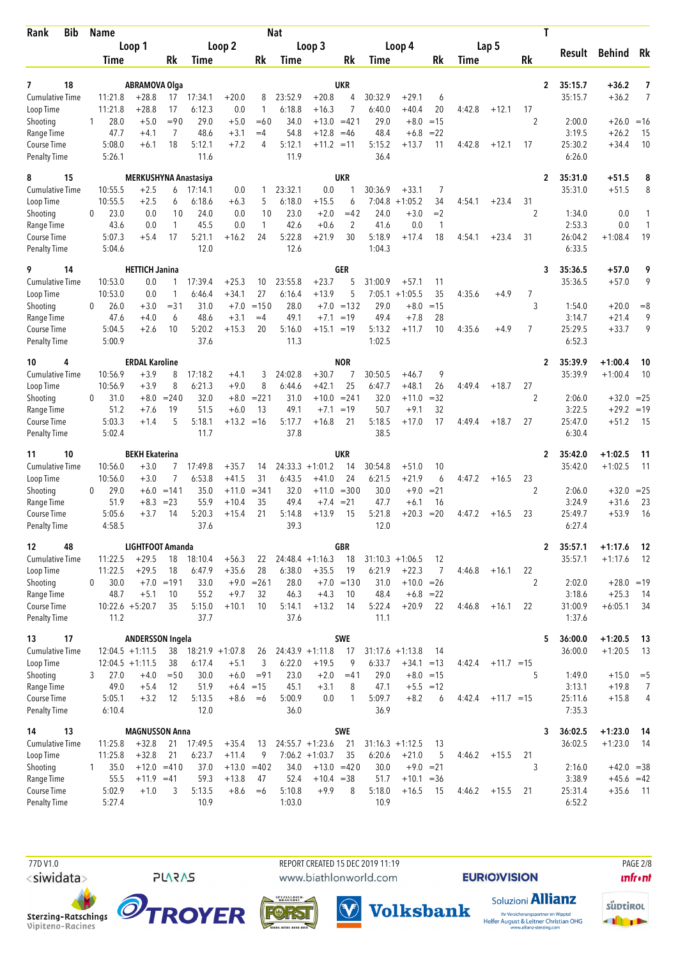| <b>Bib</b><br>Rank                  | <b>Name</b>  |                            |                                  |                     |                              |                    |               | <b>Nat</b>       |                              |                          |                   |                                    |                 |        |              |                      | T                         |                        |                |
|-------------------------------------|--------------|----------------------------|----------------------------------|---------------------|------------------------------|--------------------|---------------|------------------|------------------------------|--------------------------|-------------------|------------------------------------|-----------------|--------|--------------|----------------------|---------------------------|------------------------|----------------|
|                                     |              |                            | Loop 1                           |                     |                              | Loop 2             |               |                  | Loop 3                       |                          |                   | Loop 4                             |                 |        | Lap 5        |                      | Result                    | Behind Rk              |                |
|                                     |              | Time                       |                                  | Rk                  | Time                         |                    | Rk            | Time             |                              | Rk                       | Time              |                                    | Rk              | Time   |              | Rk                   |                           |                        |                |
| 18<br>7                             |              |                            | <b>ABRAMOVA Olga</b>             |                     |                              |                    |               |                  |                              | <b>UKR</b>               |                   |                                    |                 |        |              |                      | $\overline{2}$<br>35:15.7 | +36.2                  | $\overline{1}$ |
| <b>Cumulative Time</b>              |              | 11:21.8                    | $+28.8$                          | 17                  | 17:34.1                      | $+20.0$            | 8             | 23:52.9          | $+20.8$                      | 4                        | 30:32.9           | $+29.1$                            | 6               |        |              |                      | 35:15.7                   | $+36.2$                | 7              |
| Loop Time                           |              | 11:21.8                    | $+28.8$                          | 17                  | 6:12.3<br>29.0               | 0.0                | 1             | 6:18.8           | $+16.3$                      | $\overline{7}$<br>$=421$ | 6:40.0            | $+40.4$                            | 20              | 4:42.8 | $+12.1$      | 17                   |                           |                        |                |
| Shooting<br>Range Time              | 1            | 28.0<br>47.7               | $+5.0$<br>$+4.1$                 | $= 90$<br>7         | 48.6                         | $+5.0$<br>$+3.1$   | $=60$<br>$=4$ | 34.0<br>54.8     | $+13.0$<br>$+12.8$           | $=46$                    | 29.0<br>48.4      | $+8.0$<br>$+6.8$                   | $=15$<br>$= 22$ |        |              | 2                    | 2:00.0<br>3:19.5          | $+26.0$<br>$+26.2$     | $=16$<br>15    |
| Course Time                         |              | 5:08.0                     | $+6.1$                           | 18                  | 5:12.1                       | $+7.2$             | 4             | 5:12.1           | $+11.2 = 11$                 |                          | 5:15.2            | $+13.7$                            | 11              | 4:42.8 | $+12.1$      | 17                   | 25:30.2                   | $+34.4$                | 10             |
| <b>Penalty Time</b>                 |              | 5:26.1                     |                                  |                     | 11.6                         |                    |               | 11.9             |                              |                          | 36.4              |                                    |                 |        |              |                      | 6:26.0                    |                        |                |
| 8<br>15                             |              |                            | MERKUSHYNA Anastasiya            |                     |                              |                    |               |                  |                              | <b>UKR</b>               |                   |                                    |                 |        |              |                      | 35:31.0<br>$\mathbf{2}$   | $+51.5$                | 8              |
| Cumulative Time                     |              | 10:55.5                    | $+2.5$                           | 6                   | 17:14.1                      | 0.0                | 1             | 23:32.1          | 0.0                          | 1                        | 30:36.9           | $+33.1$                            | 7               |        |              |                      | 35:31.0                   | $+51.5$                | 8              |
| Loop Time<br>Shooting               | 0            | 10:55.5<br>23.0            | $+2.5$<br>0.0                    | 6<br>10             | 6:18.6<br>24.0               | $+6.3$<br>0.0      | 5<br>10       | 6:18.0<br>23.0   | $+15.5$<br>$+2.0$            | 6<br>$=42$               | 7:04.8<br>24.0    | $+1:05.2$<br>$+3.0$                | 34<br>$=2$      | 4:54.1 | $+23.4$      | 31<br>2              | 1:34.0                    | 0.0                    | 1              |
| Range Time                          |              | 43.6                       | 0.0                              | 1                   | 45.5                         | 0.0                | $\mathbf{1}$  | 42.6             | $+0.6$                       | 2                        | 41.6              | 0.0                                | $\mathbf{1}$    |        |              |                      | 2:53.3                    | 0.0                    | $\mathbf{1}$   |
| Course Time                         |              | 5:07.3                     | $+5.4$                           | 17                  | 5:21.1                       | $+16.2$            | 24            | 5:22.8           | $+21.9$                      | 30                       | 5:18.9            | $+17.4$                            | 18              | 4:54.1 | $+23.4$      | 31                   | 26:04.2                   | $+1:08.4$              | 19             |
| <b>Penalty Time</b>                 |              | 5:04.6                     |                                  |                     | 12.0                         |                    |               | 12.6             |                              |                          | 1:04.3            |                                    |                 |        |              |                      | 6:33.5                    |                        |                |
| 9<br>14                             |              |                            | <b>HETTICH Janina</b>            |                     |                              |                    |               |                  |                              | GER                      |                   |                                    |                 |        |              |                      | 35:36.5<br>3              | +57.0                  | 9              |
| <b>Cumulative Time</b>              |              | 10:53.0                    | 0.0                              | 1                   | 17:39.4                      | $+25.3$            | 10            | 23:55.8          | $+23.7$                      | 5                        | 31:00.9           | $+57.1$                            | 11              |        |              |                      | 35:36.5                   | $+57.0$                | 9              |
| Loop Time<br>Shooting               | 0            | 10:53.0<br>26.0            | 0.0<br>$+3.0$                    | 1<br>$= 31$         | 6:46.4<br>31.0               | $+34.1$<br>$+7.0$  | 27<br>$=150$  | 6:16.4<br>28.0   | $+13.9$<br>$+7.0$            | 5<br>$=132$              | 7:05.1<br>29.0    | $+1:05.5$<br>$+8.0$                | 35<br>$=15$     | 4:35.6 | $+4.9$       | 7<br>3               | 1:54.0                    | $+20.0$                | $=8$           |
| Range Time                          |              | 47.6                       | $+4.0$                           | 6                   | 48.6                         | $+3.1$             | $=4$          | 49.1             | $+7.1$                       | $=19$                    | 49.4              | $+7.8$                             | 28              |        |              |                      | 3:14.7                    | $+21.4$                | 9              |
| Course Time                         |              | 5:04.5                     | $+2.6$                           | 10                  | 5:20.2                       | $+15.3$            | 20            | 5:16.0           | $+15.1$                      | $=19$                    | 5:13.2            | $+11.7$                            | 10              | 4:35.6 | $+4.9$       | $\overline{7}$       | 25:29.5                   | $+33.7$                | 9              |
| <b>Penalty Time</b>                 |              | 5:00.9                     |                                  |                     | 37.6                         |                    |               | 11.3             |                              |                          | 1:02.5            |                                    |                 |        |              |                      | 6:52.3                    |                        |                |
| 4<br>10                             |              |                            | <b>ERDAL Karoline</b>            |                     |                              |                    |               |                  |                              | <b>NOR</b>               |                   |                                    |                 |        |              |                      | 35:39.9<br>2              | $+1:00.4$              | 10             |
| <b>Cumulative Time</b>              |              | 10:56.9                    | $+3.9$                           | 8                   | 17:18.2                      | $+4.1$             | 3             | 24:02.8          | $+30.7$                      | 7                        | 30:50.5           | $+46.7$                            | 9               |        |              |                      | 35:39.9                   | $+1:00.4$              | 10             |
| Loop Time<br>Shooting               | 0            | 10:56.9<br>31.0            | $+3.9$<br>$+8.0$                 | 8<br>$= 240$        | 6:21.3<br>32.0               | $+9.0$<br>$+8.0$   | 8<br>$= 221$  | 6:44.6<br>31.0   | $+42.1$<br>$+10.0$           | 25<br>$= 241$            | 6:47.7<br>32.0    | $+48.1$<br>$+11.0$                 | 26<br>$= 32$    | 4:49.4 | $+18.7$      | 27<br>$\overline{2}$ | 2:06.0                    | $+32.0 = 25$           |                |
| Range Time                          |              | 51.2                       | $+7.6$                           | 19                  | 51.5                         | $+6.0$             | 13            | 49.1             | $+7.1$                       | $=19$                    | 50.7              | $+9.1$                             | 32              |        |              |                      | 3:22.5                    | $+29.2 = 19$           |                |
| Course Time                         |              | 5:03.3                     | $+1.4$                           | 5                   | 5:18.1                       | $+13.2 = 16$       |               | 5:17.7           | $+16.8$                      | 21                       | 5:18.5            | $+17.0$                            | 17              | 4:49.4 | $+18.7$      | 27                   | 25:47.0                   | $+51.2$                | - 15           |
| <b>Penalty Time</b>                 |              | 5:02.4                     |                                  |                     | 11.7                         |                    |               | 37.8             |                              |                          | 38.5              |                                    |                 |        |              |                      | 6:30.4                    |                        |                |
| 10<br>11                            |              |                            | <b>BEKH Ekaterina</b>            |                     |                              |                    |               |                  |                              | UKR                      |                   |                                    |                 |        |              |                      | 35:42.0<br>$\mathbf{2}$   | $+1:02.5$              | 11             |
| <b>Cumulative Time</b><br>Loop Time |              | 10:56.0<br>10:56.0         | $+3.0$<br>$+3.0$                 | 7<br>$\overline{7}$ | 17:49.8<br>6:53.8            | $+35.7$<br>$+41.5$ | 14<br>31      | 6:43.5           | $24:33.3 +1:01.2$<br>$+41.0$ | 14<br>24                 | 30:54.8<br>6:21.5 | $+51.0$<br>$+21.9$                 | 10<br>6         | 4:47.2 | $+16.5$      | 23                   | 35:42.0                   | $+1:02.5$              | 11             |
| Shooting                            | $\mathbf{0}$ | 29.0                       |                                  | $+6.0 = 141$        | 35.0                         | $+11.0$            | $= 341$       | 32.0             | $+11.0$                      | $= 300$                  | 30.0              | $+9.0$                             | $= 21$          |        |              | 2                    | 2:06.0                    | $+32.0$                | $=25$          |
| Range Time                          |              | 51.9                       | $+8.3$                           | $= 23$              | 55.9                         | $+10.4$            | 35            | 49.4             | $+7.4$                       | $= 21$                   | 47.7              | $+6.1$                             | 16              |        |              |                      | 3:24.9                    | $+31.6$                | 23             |
| Course Time                         |              | 5:05.6<br>4:58.5           | $+3.7$                           | 14                  | 5:20.3<br>37.6               | $+15.4$            | 21            | 5:14.8<br>39.3   | $+13.9$                      | 15                       | 5:21.8<br>12.0    | $+20.3$                            | $=20$           | 4:47.2 | $+16.5$      | 23                   | 25:49.7<br>6:27.4         | $+53.9$                | 16             |
| Penalty Time                        |              |                            |                                  |                     |                              |                    |               |                  |                              |                          |                   |                                    |                 |        |              |                      |                           |                        |                |
| 12<br>48                            |              |                            | LIGHTFOOT Amanda                 |                     |                              |                    |               |                  |                              | <b>GBR</b>               |                   |                                    |                 |        |              |                      | 35:57.1<br>$\mathbf{2}$   | $+1:17.6$              | - 12           |
| <b>Cumulative Time</b><br>Loop Time |              | 11:22.5<br>11:22.5         | $+29.5$<br>$+29.5$               | 18<br>18            | 18:10.4<br>6:47.9            | $+56.3$<br>$+35.6$ | 22<br>28      | 6:38.0           | $24:48.4 +1:16.3$<br>$+35.5$ | 18<br>19                 | 6:21.9            | $31:10.3 +1:06.5$<br>$+22.3$       | 12<br>7         | 4:46.8 | $+16.1$      | 22                   | 35:57.1                   | $+1:17.6$              | - 12           |
| Shooting                            | 0            | 30.0                       |                                  | $+7.0 = 191$        | 33.0                         |                    | $+9.0 = 261$  | 28.0             |                              | $+7.0 = 130$             | 31.0              | $+10.0 = 26$                       |                 |        |              | 2                    | 2:02.0                    | $+28.0 = 19$           |                |
| Range Time                          |              | 48.7                       | $+5.1$                           | 10                  | 55.2                         | $+9.7$             | 32            | 46.3             | $+4.3$                       | 10                       | 48.4              |                                    | $+6.8 = 22$     |        |              |                      | 3:18.6                    | $+25.3$                | 14             |
| Course Time<br><b>Penalty Time</b>  |              | $10:22.6 + 5:20.7$<br>11.2 |                                  | 35                  | 5:15.0<br>37.7               | $+10.1$            | 10            | 5:14.1<br>37.6   | $+13.2$                      | 14                       | 5:22.4<br>11.1    | $+20.9$                            | 22              | 4:46.8 | $+16.1$      | 22                   | 31:00.9<br>1:37.6         | $+6:05.1$              | 34             |
|                                     |              |                            |                                  |                     |                              |                    |               |                  |                              |                          |                   |                                    |                 |        |              |                      |                           |                        |                |
| 17<br>13                            |              |                            | <b>ANDERSSON Ingela</b>          |                     |                              |                    |               |                  |                              | <b>SWE</b>               |                   |                                    |                 |        |              |                      | 5<br>36:00.0              | $+1:20.5$              | - 13           |
| <b>Cumulative Time</b><br>Loop Time |              | $12:04.5 +1:11.5$          | $12:04.5 +1:11.5$                | 38<br>38            | $18:21.9 + 1:07.8$<br>6:17.4 | $+5.1$             | 26<br>3       | 6:22.0           | $24:43.9 +1:11.8$<br>$+19.5$ | 17<br>9                  | 6:33.7            | $31:17.6 + 1:13.8$<br>$+34.1 = 13$ | -14             | 4:42.4 | $+11.7 = 15$ |                      | 36:00.0                   | $+1:20.5$              | -13            |
| Shooting                            | 3            | 27.0                       | $+4.0$                           | $=$ 50              | 30.0                         | $+6.0$             | $= 91$        | 23.0             | $+2.0$                       | $=41$                    | 29.0              |                                    | $+8.0 = 15$     |        |              | 5                    | 1:49.0                    | $+15.0$                | $=$ 5          |
| Range Time                          |              | 49.0                       | $+5.4$                           | 12                  | 51.9                         | $+6.4 = 15$        |               | 45.1             | $+3.1$                       | 8                        | 47.1              |                                    | $+5.5 = 12$     |        |              |                      | 3:13.1                    | $+19.8$                | $\overline{7}$ |
| Course Time<br><b>Penalty Time</b>  |              | 5:05.1<br>6:10.4           | $+3.2$                           | 12                  | 5:13.5<br>12.0               | $+8.6$             | $=6$          | 5:00.9<br>36.0   | 0.0                          | 1                        | 5:09.7<br>36.9    | $+8.2$                             | 6               | 4:42.4 | $+11.7 = 15$ |                      | 25:11.6<br>7:35.3         | $+15.8$                | 4              |
|                                     |              |                            |                                  |                     |                              |                    |               |                  |                              |                          |                   |                                    |                 |        |              |                      |                           |                        |                |
| 14<br>13<br><b>Cumulative Time</b>  |              | 11:25.8                    | <b>MAGNUSSON Anna</b><br>$+32.8$ |                     | 17:49.5                      | $+35.4$            |               |                  | $24:55.7 + 1:23.6$           | <b>SWE</b><br>21         |                   | $31:16.3 +1:12.5$                  |                 |        |              |                      | 36:02.5<br>3<br>36:02.5   | $+1:23.0$<br>$+1:23.0$ | - 14           |
| Loop Time                           |              | 11:25.8                    | $+32.8$                          | 21<br>21            | 6:23.7                       | $+11.4$            | 13<br>9       |                  | $7:06.2 +1:03.7$             | 35                       | 6:20.6            | $+21.0$                            | 13<br>5         | 4:46.2 | $+15.5$      | 21                   |                           |                        | - 14           |
| Shooting                            | 1.           | 35.0                       | $+12.0 = 410$                    |                     | 37.0                         | $+13.0 = 402$      |               | 34.0             | $+13.0 = 420$                |                          | 30.0              | $+9.0 = 21$                        |                 |        |              | 3                    | 2:16.0                    | $+42.0 = 38$           |                |
| Range Time                          |              | 55.5                       | $+11.9 = 41$                     |                     | 59.3                         | $+13.8$            | 47            | 52.4             | $+10.4 = 38$                 |                          | 51.7              | $+10.1 = 36$                       |                 |        |              |                      | 3:38.9                    | $+45.6 = 42$           |                |
| Course Time<br>Penalty Time         |              | 5:02.9<br>5:27.4           | $+1.0$                           | 3                   | 5:13.5<br>10.9               | $+8.6$             | $=6$          | 5:10.8<br>1:03.0 | $+9.9$                       | 8                        | 5:18.0<br>10.9    | $+16.5$                            | 15              | 4:46.2 | $+15.5$      | 21                   | 25:31.4<br>6:52.2         | $+35.6$                | $-11$          |
|                                     |              |                            |                                  |                     |                              |                    |               |                  |                              |                          |                   |                                    |                 |        |              |                      |                           |                        |                |

 77D V1.0 REPORT CREATED 15 DEC 2019 11:19 PAGE 2/8www.biathlonworld.com

 $(\blacktriangledown)$ 

**EURIOVISION** 

**unfront** 



süptirol **dire** 





**PLARAS** 

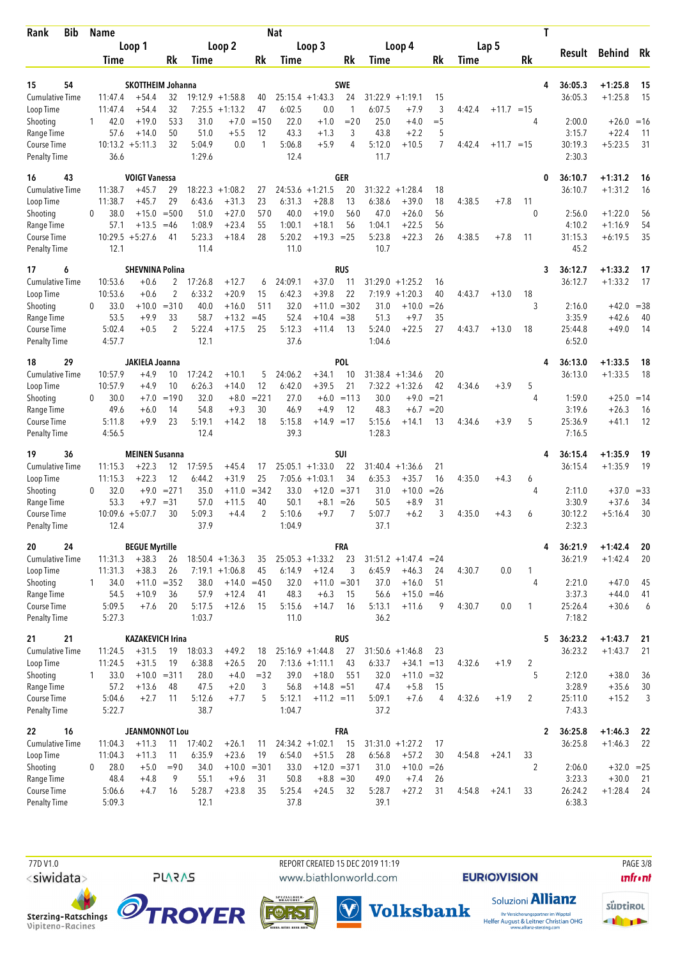| <b>Bib</b><br>Rank                  |              | <b>Name</b>        |                               |                |                   |                                         |               | <b>Nat</b>       |                                        |                     |                  |                                    |                 |        |              | Τ              |                   |                         |          |
|-------------------------------------|--------------|--------------------|-------------------------------|----------------|-------------------|-----------------------------------------|---------------|------------------|----------------------------------------|---------------------|------------------|------------------------------------|-----------------|--------|--------------|----------------|-------------------|-------------------------|----------|
|                                     |              |                    | Loop 1                        |                |                   | Loop 2                                  |               |                  | Loop 3                                 |                     |                  | Loop 4                             |                 |        | Lap 5        |                | Result            | Behind Rk               |          |
|                                     |              | Time               |                               | Rk             | Time              |                                         | Rk            | Time             |                                        | Rk                  | Time             |                                    | Rk              | Time   |              | Rk             |                   |                         |          |
| 54<br>15                            |              |                    | <b>SKOTTHEIM Johanna</b>      |                |                   |                                         |               |                  |                                        | <b>SWE</b>          |                  |                                    |                 |        |              | 4              | 36:05.3           | $+1:25.8$               | 15       |
| <b>Cumulative Time</b>              |              | 11:47.4            | $+54.4$                       | 32             |                   | $19:12.9 + 1:58.8$                      | 40            |                  | $25:15.4 +1:43.3$                      | 24                  |                  | $31:22.9 +1:19.1$                  | 15              |        |              |                | 36:05.3           | $+1:25.8$               | 15       |
| Loop Time                           |              | 11:47.4            | $+54.4$                       | 32             | 7:25.5            | $+1:13.2$                               | 47            | 6:02.5           | 0.0                                    | $\mathbf{1}$        | 6:07.5           | $+7.9$                             | 3               | 4:42.4 | $+11.7 = 15$ |                |                   |                         |          |
| Shooting                            | 1            | 42.0               | $+19.0$                       | 533            | 31.0              | $+7.0$                                  | $=150$        | 22.0             | $+1.0$                                 | $=20$               | 25.0             | $+4.0$                             | $=$ 5           |        |              | 4              | 2:00.0            | $+26.0 = 16$            |          |
| Range Time<br>Course Time           |              | 57.6               | $+14.0$<br>$10:13.2 + 5:11.3$ | 50<br>32       | 51.0<br>5:04.9    | $+5.5$<br>0.0                           | 12<br>1       | 43.3<br>5:06.8   | $+1.3$<br>$+5.9$                       | 3<br>$\overline{4}$ | 43.8<br>5:12.0   | $+2.2$<br>$+10.5$                  | 5<br>7          | 4:42.4 | $+11.7 = 15$ |                | 3:15.7<br>30:19.3 | $+22.4$<br>$+5:23.5$    | 11<br>31 |
| <b>Penalty Time</b>                 |              | 36.6               |                               |                | 1:29.6            |                                         |               | 12.4             |                                        |                     | 11.7             |                                    |                 |        |              |                | 2:30.3            |                         |          |
| 16<br>43                            |              |                    | <b>VOIGT Vanessa</b>          |                |                   |                                         |               |                  |                                        | GER                 |                  |                                    |                 |        |              | 0              | 36:10.7           | $+1:31.2$               | 16       |
| <b>Cumulative Time</b>              |              | 11:38.7            | $+45.7$                       | 29             | 18:22.3           | $+1:08.2$                               | 27            |                  | $24:53.6 + 1:21.5$                     | 20                  |                  | $31:32.2 + 1:28.4$                 | 18              |        |              |                | 36:10.7           | $+1:31.2$               | 16       |
| Loop Time                           |              | 11:38.7            | $+45.7$                       | 29             | 6:43.6            | $+31.3$                                 | 23            | 6:31.3           | $+28.8$                                | 13                  | 6:38.6           | $+39.0$                            | 18              | 4:38.5 | $+7.8$       | 11             |                   |                         |          |
| Shooting                            | 0            | 38.0               | $+15.0$                       | $= 500$        | 51.0              | $+27.0$                                 | 570           | 40.0             | $+19.0$                                | 560                 | 47.0             | $+26.0$                            | 56              |        |              | $\mathbf{0}$   | 2:56.0            | $+1:22.0$               | 56       |
| Range Time<br>Course Time           |              | 57.1               | $+13.5$<br>$10:29.5 + 5:27.6$ | $=46$<br>41    | 1:08.9<br>5:23.3  | $+23.4$<br>$+18.4$                      | 55<br>28      | 1:00.1<br>5:20.2 | $+18.1$<br>$+19.3 = 25$                | 56                  | 1:04.1<br>5:23.8 | $+22.5$<br>$+22.3$                 | 56<br>26        | 4:38.5 | $+7.8$       | 11             | 4:10.2<br>31:15.3 | $+1:16.9$<br>$+6:19.5$  | 54<br>35 |
| <b>Penalty Time</b>                 |              | 12.1               |                               |                | 11.4              |                                         |               | 11.0             |                                        |                     | 10.7             |                                    |                 |        |              |                | 45.2              |                         |          |
| 17<br>6                             |              |                    | <b>SHEVNINA Polina</b>        |                |                   |                                         |               |                  |                                        | RUS                 |                  |                                    |                 |        |              | 3              | 36:12.7           | $+1:33.2$               | 17       |
| <b>Cumulative Time</b>              |              | 10:53.6            | $+0.6$                        | 2              | 17:26.8           | $+12.7$                                 | 6             | 24:09.1          | $+37.0$                                | 11                  | 31:29.0          | $+1:25.2$                          | 16              |        |              |                | 36:12.7           | $+1:33.2$               | 17       |
| Loop Time                           |              | 10:53.6            | $+0.6$                        | $\overline{2}$ | 6:33.2            | $+20.9$                                 | 15            | 6:42.3           | $+39.8$                                | 22                  | 7:19.9           | $+1:20.3$                          | 40              | 4:43.7 | $+13.0$      | 18             |                   |                         |          |
| Shooting                            | $\bf{0}$     | 33.0               | $+10.0$                       | $= 310$        | 40.0              | $+16.0$                                 | 511<br>$=45$  | 32.0             | $+11.0$                                | $= 302$             | 31.0             | $+10.0$                            | $= 26$          |        |              | 3              | 2:16.0            | $+42.0 = 38$            |          |
| Range Time<br>Course Time           |              | 53.5<br>5:02.4     | $+9.9$<br>$+0.5$              | 33<br>2        | 58.7<br>5:22.4    | $+13.2$<br>$+17.5$                      | 25            | 52.4<br>5:12.3   | $+10.4$<br>$+11.4$                     | $=38$<br>13         | 51.3<br>5:24.0   | $+9.7$<br>$+22.5$                  | 35<br>27        | 4:43.7 | $+13.0$      | 18             | 3:35.9<br>25:44.8 | $+42.6$<br>$+49.0$      | 40<br>14 |
| <b>Penalty Time</b>                 |              | 4:57.7             |                               |                | 12.1              |                                         |               | 37.6             |                                        |                     | 1:04.6           |                                    |                 |        |              |                | 6:52.0            |                         |          |
| 29<br>18                            |              |                    | JAKIELA Joanna                |                |                   |                                         |               |                  |                                        | POL                 |                  |                                    |                 |        |              | 4              | 36:13.0           | $+1:33.5$               | 18       |
| <b>Cumulative Time</b>              |              | 10:57.9            | $+4.9$                        | 10             | 17:24.2           | $+10.1$                                 | 5             | 24:06.2          | $+34.1$                                | 10                  |                  | $31:38.4 +1:34.6$                  | 20              |        |              |                | 36:13.0           | $+1:33.5$               | 18       |
| Loop Time                           |              | 10:57.9            | $+4.9$                        | 10             | 6:26.3            | $+14.0$                                 | 12            | 6:42.0           | $+39.5$                                | 21                  |                  | $7:32.2 +1:32.6$                   | 42              | 4:34.6 | $+3.9$       | 5              |                   |                         |          |
| Shooting<br>Range Time              | 0            | 30.0<br>49.6       | $+7.0$<br>$+6.0$              | $=190$<br>14   | 32.0<br>54.8      | $+8.0$<br>$+9.3$                        | $= 221$<br>30 | 27.0<br>46.9     | $+6.0$<br>$+4.9$                       | $=113$<br>12        | 30.0<br>48.3     | $+9.0$<br>$+6.7$                   | $= 21$<br>$=20$ |        |              | 4              | 1:59.0<br>3:19.6  | $+25.0 = 14$<br>$+26.3$ | 16       |
| Course Time                         |              | 5:11.8             | $+9.9$                        | 23             | 5:19.1            | $+14.2$                                 | 18            | 5:15.8           | $+14.9 = 17$                           |                     | 5:15.6           | $+14.1$                            | 13              | 4:34.6 | $+3.9$       | 5              | 25:36.9           | $+41.1$                 | 12       |
| <b>Penalty Time</b>                 |              | 4:56.5             |                               |                | 12.4              |                                         |               | 39.3             |                                        |                     | 1:28.3           |                                    |                 |        |              |                | 7:16.5            |                         |          |
| 36<br>19                            |              |                    | <b>MEINEN Susanna</b>         |                |                   |                                         |               |                  |                                        | SUI                 |                  |                                    |                 |        |              | 4              | 36:15.4           | $+1:35.9$               | 19       |
| <b>Cumulative Time</b>              |              | 11:15.3            | $+22.3$                       | 12             | 17:59.5           | $+45.4$                                 | 17            |                  | $25:05.1 + 1:33.0$                     | 22                  | 31:40.4          | $+1:36.6$                          | 21              |        |              |                | 36:15.4           | $+1:35.9$               | 19       |
| Loop Time<br>Shooting               | 0            | 11:15.3<br>32.0    | $+22.3$<br>$+9.0$             | 12<br>$= 271$  | 6:44.2<br>35.0    | $+31.9$<br>$+11.0$                      | 25<br>$= 342$ | 33.0             | $7:05.6 +1:03.1$<br>$+12.0$            | 34<br>$= 371$       | 6:35.3<br>31.0   | $+35.7$<br>$+10.0$                 | 16<br>$=26$     | 4:35.0 | $+4.3$       | 6<br>4         | 2:11.0            | $+37.0 = 33$            |          |
| Range Time                          |              | 53.3               | $+9.7$                        | $= 31$         | 57.0              | $+11.5$                                 | 40            | 50.1             | $+8.1$                                 | $=26$               | 50.5             | $+8.9$                             | 31              |        |              |                | 3:30.9            | $+37.6$                 | 34       |
| Course Time                         |              |                    | $10:09.6 + 5:07.7$            | 30             | 5:09.3            | $+4.4$                                  | 2             | 5:10.6           | $+9.7$                                 | 7                   | 5:07.7           | $+6.2$                             | 3               | 4:35.0 | $+4.3$       | 6              | 30:12.2           | $+5:16.4$               | 30       |
| <b>Penalty Time</b>                 |              | 12.4               |                               |                | 37.9              |                                         |               | 1:04.9           |                                        |                     | 37.1             |                                    |                 |        |              |                | 2:32.3            |                         |          |
| 20<br>24                            |              |                    | <b>BEGUE Myrtille</b>         |                |                   |                                         |               |                  |                                        | <b>FRA</b>          |                  |                                    |                 |        |              | 4              | 36:21.9           | $+1:42.4$               | 20       |
| Cumulative Time<br>Loop Time        |              | 11:31.3<br>11:31.3 | $+38.3$<br>$+38.3$            | 26<br>26       |                   | $18:50.4 + 1:36.3$<br>$7:19.1 + 1:06.8$ | 35<br>45      | 6:14.9           | $25:05.3 +1:33.2$<br>$+12.4$           | 23<br>3             | 6:45.9           | $31:51.2 +1:47.4 = 24$<br>$+46.3$  | 24              | 4:30.7 | 0.0          | $\mathbf{1}$   | 36:21.9           | $+1:42.4$               | 20       |
| Shooting                            | 1            | 34.0               | $+11.0 = 352$                 |                | 38.0              | $+14.0 = 450$                           |               | 32.0             | $+11.0$                                | $= 301$             | 37.0             | $+16.0$                            | 51              |        |              | 4              | 2:21.0            | $+47.0$                 | 45       |
| Range Time                          |              | 54.5               | $+10.9$                       | 36             | 57.9              | $+12.4$                                 | 41            | 48.3             | $+6.3$                                 | 15                  | 56.6             | $+15.0 = 46$                       |                 |        |              |                | 3:37.3            | $+44.0$                 | 41       |
| Course Time                         |              | 5:09.5             | $+7.6$                        | 20             | 5:17.5            | $+12.6$                                 | 15            | 5:15.6           | $+14.7$                                | 16                  | 5:13.1           | $+11.6$                            | 9               | 4:30.7 | 0.0          | 1              | 25:26.4           | $+30.6$                 | 6        |
| <b>Penalty Time</b>                 |              | 5:27.3             |                               |                | 1:03.7            |                                         |               | 11.0             |                                        |                     | 36.2             |                                    |                 |        |              |                | 7:18.2            |                         |          |
| 21<br>21                            |              |                    | <b>KAZAKEVICH Irina</b>       |                |                   |                                         |               |                  |                                        | <b>RUS</b>          |                  |                                    |                 |        |              | 5              | 36:23.2           | $+1:43.7$               | 21       |
| <b>Cumulative Time</b><br>Loop Time |              | 11:24.5<br>11:24.5 | $+31.5$<br>$+31.5$            | 19<br>19       | 18:03.3<br>6:38.8 | $+49.2$<br>$+26.5$                      | 18<br>20      |                  | $25:16.9 + 1:44.8$<br>$7:13.6 +1:11.1$ | 27<br>43            | 6:33.7           | $31:50.6 + 1:46.8$<br>$+34.1 = 13$ | 23              | 4:32.6 | $+1.9$       | $\overline{2}$ | 36:23.2           | $+1:43.7$               | 21       |
| Shooting                            | $\mathbf{1}$ | 33.0               | $+10.0 = 311$                 |                | 28.0              | $+4.0$                                  | $= 32$        | 39.0             | $+18.0$                                | 551                 | 32.0             | $+11.0 = 32$                       |                 |        |              | 5              | 2:12.0            | $+38.0$                 | 36       |
| Range Time                          |              | 57.2               | $+13.6$                       | 48             | 47.5              | $+2.0$                                  | 3             | 56.8             | $+14.8 = 51$                           |                     | 47.4             | $+5.8$                             | 15              |        |              |                | 3:28.9            | $+35.6$                 | 30       |
| Course Time                         |              | 5:04.6             | $+2.7$                        | 11             | 5:12.6            | $+7.7$                                  | 5             | 5:12.1           | $+11.2 = 11$                           |                     | 5:09.1           | $+7.6$                             | 4               | 4:32.6 | $+1.9$       | 2              | 25:11.0           | $+15.2$                 | 3        |
| <b>Penalty Time</b>                 |              | 5:22.7             |                               |                | 38.7              |                                         |               | 1:04.7           |                                        |                     | 37.2             |                                    |                 |        |              |                | 7:43.3            |                         |          |
| 16<br>22                            |              |                    | <b>JEANMONNOT Lou</b>         |                |                   |                                         |               |                  |                                        | <b>FRA</b>          |                  |                                    |                 |        |              | $\mathbf{2}$   | 36:25.8           | $+1:46.3$               | 22       |
| <b>Cumulative Time</b><br>Loop Time |              | 11:04.3<br>11:04.3 | $+11.3$<br>$+11.3$            | 11<br>11       | 17:40.2<br>6:35.9 | $+26.1$<br>$+23.6$                      | 11<br>19      | 6:54.0           | $24:34.2 +1:02.1$<br>$+51.5$           | 15<br>28            | 6:56.8           | $31:31.0 + 1:27.2$<br>$+57.2$      | 17<br>30        | 4:54.8 | $+24.1$      | 33             | 36:25.8           | $+1:46.3$               | 22       |
| Shooting                            | 0            | 28.0               | $+5.0$                        | $=90$          | 34.0              |                                         | $+10.0 = 301$ | 33.0             | $+12.0 = 371$                          |                     | 31.0             | $+10.0 = 26$                       |                 |        |              | $\overline{2}$ | 2:06.0            | $+32.0 = 25$            |          |
| Range Time                          |              | 48.4               | $+4.8$                        | 9              | 55.1              | $+9.6$                                  | 31            | 50.8             | $+8.8 = 30$                            |                     | 49.0             | $+7.4$                             | 26              |        |              |                | 3:23.3            | $+30.0$                 | -21      |
| Course Time                         |              | 5:06.6             | $+4.7$                        | 16             | 5:28.7            | $+23.8$                                 | 35            | 5:25.4           | $+24.5$                                | 32                  | 5:28.7           | $+27.2$                            | 31              | 4:54.8 | $+24.1$      | 33             | 26:24.2           | $+1:28.4$               | 24       |
| <b>Penalty Time</b>                 |              | 5:09.3             |                               |                | 12.1              |                                         |               | 37.8             |                                        |                     | 39.1             |                                    |                 |        |              |                | 6:38.3            |                         |          |

 77D V1.0 REPORT CREATED 15 DEC 2019 11:19 PAGE 3/8www.biathlonworld.com

 $(\blacktriangledown)$ 

**EURIOVISION** 

**unfront** 





**PLARAS** 





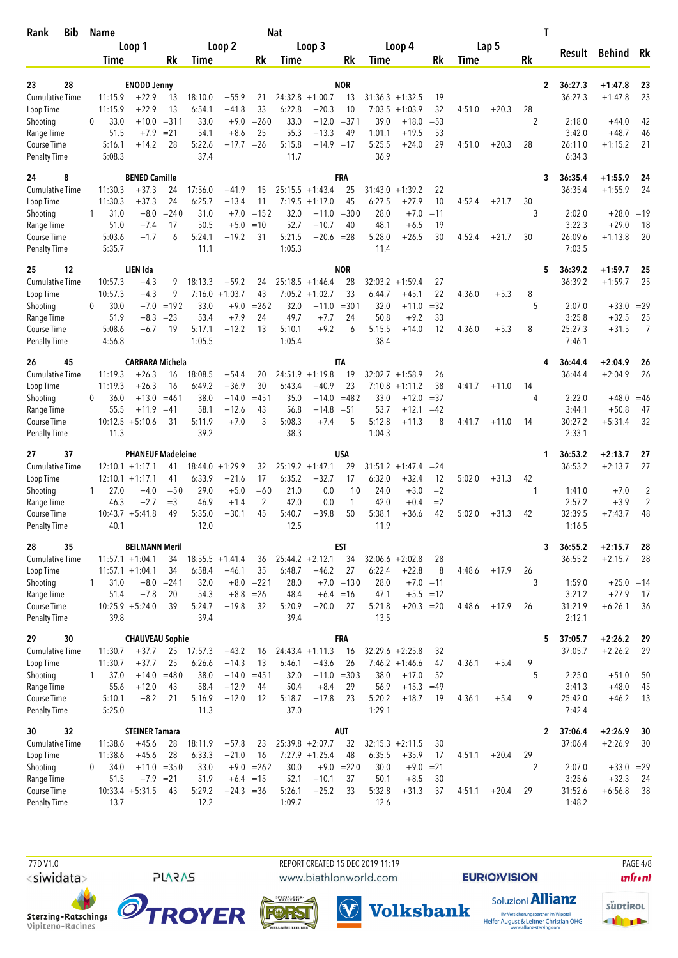| <b>Bib</b><br>Rank                  | Name                        |                                          |               |                   |                               |                 | <b>Nat</b>        |                               |                     |                   |                                        |              |        |         |           | T            |                    |                      |                |
|-------------------------------------|-----------------------------|------------------------------------------|---------------|-------------------|-------------------------------|-----------------|-------------------|-------------------------------|---------------------|-------------------|----------------------------------------|--------------|--------|---------|-----------|--------------|--------------------|----------------------|----------------|
|                                     |                             | Loop 1                                   |               |                   | Loop 2                        |                 |                   | Loop 3                        |                     |                   | Loop 4                                 |              |        | Lap 5   |           |              | Result             | <b>Behind</b>        | Rk             |
|                                     | Time                        |                                          | Rk            | Time              |                               | Rk              | Time              |                               | Rk                  | Time              |                                        | Rk           | Time   |         | <b>Rk</b> |              |                    |                      |                |
| 28<br>23                            |                             | <b>ENODD Jenny</b>                       |               |                   |                               |                 |                   |                               | <b>NOR</b>          |                   |                                        |              |        |         |           | 2            | 36:27.3            | $+1:47.8$            | 23             |
| Cumulative Time                     | 11:15.9                     | $+22.9$                                  | 13            | 18:10.0           | $+55.9$                       | 21              | 24:32.8           | $+1:00.7$                     | 13                  | 31:36.3           | $+1:32.5$                              | 19           |        |         |           |              | 36:27.3            | $+1:47.8$            | 23             |
| Loop Time                           | 11:15.9                     | $+22.9$                                  | 13            | 6:54.1            | $+41.8$                       | 33              | 6:22.8            | $+20.3$                       | 10                  | 7:03.5            | $+1:03.9$                              | 32           | 4:51.0 | $+20.3$ | 28        |              |                    |                      |                |
| Shooting                            | 33.0<br>$\Omega$            | $+10.0$                                  | $= 311$       | 33.0              | $+9.0$                        | $= 260$         | 33.0              |                               | $+12.0 = 371$       | 39.0              | $+18.0$                                | $= 53$       |        |         | 2         |              | 2:18.0             | $+44.0$              | 42             |
| Range Time<br>Course Time           | 51.5<br>5:16.1              | $+7.9$<br>$+14.2$                        | $= 21$<br>28  | 54.1<br>5:22.6    | $+8.6$<br>$+17.7$             | 25<br>$=26$     | 55.3<br>5:15.8    | $+13.3$<br>$+14.9 = 17$       | 49                  | 1:01.1<br>5:25.5  | $+19.5$<br>$+24.0$                     | 53<br>29     | 4:51.0 | $+20.3$ | 28        |              | 3:42.0<br>26:11.0  | $+48.7$<br>$+1:15.2$ | 46<br>21       |
| <b>Penalty Time</b>                 | 5:08.3                      |                                          |               | 37.4              |                               |                 | 11.7              |                               |                     | 36.9              |                                        |              |        |         |           |              | 6:34.3             |                      |                |
| 24<br>8                             |                             | <b>BENED Camille</b>                     |               |                   |                               |                 |                   |                               | <b>FRA</b>          |                   |                                        |              |        |         |           | 3            | 36:35.4            | $+1:55.9$            | 24             |
| <b>Cumulative Time</b>              | 11:30.3                     | $+37.3$                                  | 24            | 17:56.0           | +41.9                         | 15              |                   | $25:15.5 + 1:43.4$            | 25                  | 31:43.0           | $+1:39.2$                              | 22           |        |         |           |              | 36:35.4            | $+1:55.9$            | 24             |
| Loop Time                           | 11:30.3                     | $+37.3$                                  | 24            | 6:25.7            | $+13.4$                       | 11              |                   | $7:19.5 + 1:17.0$             | 45                  | 6:27.5            | +27.9                                  | 10           | 4:52.4 | $+21.7$ | 30        |              |                    |                      |                |
| Shooting<br>Range Time              | 31.0<br>1<br>51.0           | $+8.0$<br>$+7.4$                         | $= 240$<br>17 | 31.0<br>50.5      | $+7.0$<br>$+5.0$              | $=152$<br>$=10$ | 32.0<br>52.7      | $+10.7$                       | $+11.0 = 300$<br>40 | 28.0<br>48.1      | $+7.0$<br>$+6.5$                       | $=11$<br>19  |        |         | 3         |              | 2:02.0<br>3:22.3   | $+28.0$<br>$+29.0$   | $=19$<br>18    |
| Course Time                         | 5:03.6                      | $+1.7$                                   | 6             | 5:24.1            | $+19.2$                       | 31              | 5:21.5            | $+20.6 = 28$                  |                     | 5:28.0            | $+26.5$                                | 30           | 4:52.4 | $+21.7$ | 30        |              | 26:09.6            | $+1:13.8$            | 20             |
| <b>Penalty Time</b>                 | 5:35.7                      |                                          |               | 11.1              |                               |                 | 1:05.3            |                               |                     | 11.4              |                                        |              |        |         |           |              | 7:03.5             |                      |                |
| 12<br>25                            |                             | LIEN Ida                                 |               |                   |                               |                 |                   |                               | <b>NOR</b>          |                   |                                        |              |        |         |           | 5            | 36:39.2            | $+1:59.7$            | 25             |
| <b>Cumulative Time</b><br>Loop Time | 10:57.3<br>10:57.3          | $+4.3$<br>$+4.3$                         | 9<br>9        | 18:13.3<br>7:16.0 | $+59.2$<br>$+1:03.7$          | 24<br>43        | 25:18.5<br>7:05.2 | $+1:46.4$<br>$+1:02.7$        | 28<br>33            | 32:03.2<br>6:44.7 | $+1:59.4$<br>$+45.1$                   | 27<br>22     | 4:36.0 | $+5.3$  | 8         |              | 36:39.2            | $+1:59.7$            | 25             |
| Shooting                            | 30.0<br>0                   | $+7.0$                                   | $=192$        | 33.0              | $+9.0$                        | $= 262$         | 32.0              | $+11.0$                       | $= 301$             | 32.0              | $+11.0$                                | $=32$        |        |         | 5         |              | 2:07.0             | $+33.0 = 29$         |                |
| Range Time                          | 51.9                        | $+8.3$                                   | $= 23$        | 53.4              | $+7.9$                        | 24              | 49.7              | $+7.7$                        | 24                  | 50.8              | $+9.2$                                 | 33           |        |         |           |              | 3:25.8             | $+32.5$              | 25             |
| Course Time                         | 5:08.6                      | $+6.7$                                   | 19            | 5:17.1            | $+12.2$                       | 13              | 5:10.1            | $+9.2$                        | 6                   | 5:15.5            | $+14.0$                                | 12           | 4:36.0 | $+5.3$  | 8         |              | 25:27.3            | $+31.5$              | 7              |
| <b>Penalty Time</b>                 | 4:56.8                      |                                          |               | 1:05.5            |                               |                 | 1:05.4            |                               |                     | 38.4              |                                        |              |        |         |           |              | 7:46.1             |                      |                |
| 26<br>45                            |                             | <b>CARRARA Michela</b>                   |               |                   |                               |                 |                   |                               | IΤA                 |                   |                                        |              |        |         |           |              | 36:44.4            | $+2:04.9$            | 26             |
| <b>Cumulative Time</b>              | 11:19.3                     | $+26.3$                                  | 16            | 18:08.5           | $+54.4$                       | 20              |                   | $24:51.9 +1:19.8$             | 19                  |                   | $32:02.7 +1:58.9$                      | 26           |        |         |           |              | 36:44.4            | $+2:04.9$            | 26             |
| Loop Time<br>Shooting               | 11:19.3<br>36.0<br>$\Omega$ | $+26.3$<br>$+13.0$                       | 16<br>$=461$  | 6:49.2<br>38.0    | $+36.9$<br>+14.0              | 30<br>$= 451$   | 6:43.4<br>35.0    | $+40.9$<br>$+14.0$            | 23<br>$=482$        | 7:10.8<br>33.0    | $+1:11.2$<br>$+12.0$                   | 38<br>$=37$  | 4:41.7 | $+11.0$ | 14<br>4   |              | 2:22.0             | $+48.0 = 46$         |                |
| Range Time                          | 55.5                        | $+11.9$                                  | $=41$         | 58.1              | $+12.6$                       | 43              | 56.8              | $+14.8$                       | $= 51$              | 53.7              | $+12.1$                                | $=42$        |        |         |           |              | 3:44.1             | $+50.8$              | 47             |
| Course Time                         |                             | $10:12.5 + 5:10.6$                       | 31            | 5:11.9            | $+7.0$                        | 3               | 5:08.3            | $+7.4$                        | 5                   | 5:12.8            | $+11.3$                                | 8            | 4:41.7 | $+11.0$ | 14        |              | 30:27.2            | $+5:31.4$            | 32             |
| Penalty Time                        | 11.3                        |                                          |               | 39.2              |                               |                 | 38.3              |                               |                     | 1:04.3            |                                        |              |        |         |           |              | 2:33.1             |                      |                |
| 37<br>27                            |                             | <b>PHANEUF Madeleine</b>                 |               |                   |                               |                 |                   |                               | <b>USA</b>          |                   |                                        |              |        |         |           | 1            | 36:53.2            | $+2:13.7$            | 27             |
| <b>Cumulative Time</b><br>Loop Time |                             | $12:10.1 + 1:17.1$<br>$12:10.1 + 1:17.1$ | 41<br>41      | 6:33.9            | $18:44.0 + 1:29.9$<br>$+21.6$ | 32<br>17        | 6:35.2            | $25:19.2 + 1:47.1$<br>$+32.7$ | 29<br>17            | 6:32.0            | $31:51.2 +1:47.4$<br>$+32.4$           | $= 24$<br>12 | 5:02.0 | $+31.3$ | 42        |              | 36:53.2            | $+2:13.7$            | 27             |
| Shooting                            | 27.0<br>1                   | $+4.0$                                   | $=$ 50        | 29.0              | $+5.0$                        | $=60$           | 21.0              | 0.0                           | 10                  | 24.0              | $+3.0$                                 | $=2$         |        |         | 1         |              | 1:41.0             | $+7.0$               | $\overline{2}$ |
| Range Time                          | 46.3                        | $+2.7$                                   | $=$ 3         | 46.9              | $+1.4$                        | $\overline{2}$  | 42.0              | 0.0                           | 1                   | 42.0              | $+0.4$                                 | $=2$         |        |         |           |              | 2:57.2             | $+3.9$               | $\overline{2}$ |
| Course Time                         |                             | $10:43.7 + 5:41.8$                       | 49            | 5:35.0            | $+30.1$                       | 45              | 5:40.7            | $+39.8$                       | 50                  | 5:38.1            | $+36.6$                                | 42           | 5:02.0 | $+31.3$ | 42        |              | 32:39.5            | $+7:43.7$            | 48             |
| <b>Penalty Time</b>                 | 40.1                        |                                          |               | 12.0              |                               |                 | 12.5              |                               |                     | 11.9              |                                        |              |        |         |           |              | 1:16.5             |                      |                |
| 35<br>28                            |                             | <b>BEILMANN Meril</b>                    |               |                   |                               |                 |                   |                               | <b>EST</b>          |                   |                                        |              |        |         |           | 3            | 36:55.2            | $+2:15.7$            | 28             |
| <b>Cumulative Time</b><br>Loop Time |                             | $11:57.1 + 1:04.1$<br>$11:57.1 + 1:04.1$ | 34<br>34      | 6:58.4            | $18:55.5 + 1:41.4$<br>$+46.1$ | 36<br>35        | 6:48.7            | $25:44.2 + 2:12.1$<br>$+46.2$ | 34<br>27            | 6:22.4            | $32:06.6 + 2:02.8$<br>$+22.8$          | 28<br>8      | 4:48.6 | $+17.9$ | 26        |              | 36:55.2            | $+2:15.7$            | 28             |
| Shooting                            | 31.0<br>1.                  |                                          | $+8.0 = 241$  | 32.0              |                               | $+8.0 = 221$    | 28.0              |                               | $+7.0 = 130$        | 28.0              | $+7.0 = 11$                            |              |        |         | 3         |              | 1:59.0             | $+25.0 = 14$         |                |
| Range Time                          | 51.4                        | $+7.8$                                   | 20            | 54.3              |                               | $+8.8 = 26$     | 48.4              |                               | $+6.4 = 16$         | 47.1              | $+5.5 = 12$                            |              |        |         |           |              | 3:21.2             | $+27.9$              | 17             |
| Course Time                         |                             | $10:25.9 + 5:24.0$                       | 39            | 5:24.7            | $+19.8$                       | 32              | 5:20.9            | $+20.0$                       | 27                  | 5:21.8            | $+20.3 = 20$                           |              | 4:48.6 | $+17.9$ | 26        |              | 31:21.9            | $+6:26.1$            | 36             |
| <b>Penalty Time</b>                 | 39.8                        |                                          |               | 39.4              |                               |                 | 39.4              |                               |                     | 13.5              |                                        |              |        |         |           |              | 2:12.1             |                      |                |
| 30<br>29                            |                             | <b>CHAUVEAU Sophie</b>                   |               |                   |                               |                 |                   |                               | <b>FRA</b>          |                   |                                        |              |        |         |           | 5            | 37:05.7            | $+2:26.2$            | 29             |
| <b>Cumulative Time</b><br>Loop Time | 11:30.7<br>11:30.7          | $+37.7$<br>$+37.7$                       | 25<br>25      | 17:57.3<br>6:26.6 | $+43.2$<br>$+14.3$            | 16<br>13        | 6:46.1            | $24:43.4 +1:11.3$<br>$+43.6$  | 16<br>26            |                   | $32:29.6 + 2:25.8$<br>$7:46.2 +1:46.6$ | 32<br>47     | 4:36.1 | $+5.4$  | 9         |              | 37:05.7            | $+2:26.2$            | 29             |
| Shooting                            | 37.0<br>$\mathbf{1}$        | $+14.0$                                  | $=480$        | 38.0              |                               | $+14.0 = 451$   | 32.0              |                               | $+11.0 = 303$       | 38.0              | $+17.0$                                | 52           |        |         | 5         |              | 2:25.0             | $+51.0$              | 50             |
| Range Time                          | 55.6                        | $+12.0$                                  | 43            | 58.4              | $+12.9$                       | 44              | 50.4              | $+8.4$                        | 29                  | 56.9              | $+15.3$                                | $=49$        |        |         |           |              | 3:41.3             | $+48.0$              | 45             |
| Course Time                         | 5:10.1                      | $+8.2$                                   | 21            | 5:16.9            | $+12.0$                       | 12              | 5:18.7            | $+17.8$                       | 23                  | 5:20.2            | $+18.7$                                | 19           | 4:36.1 | $+5.4$  | 9         |              | 25:42.0            | $+46.2$              | 13             |
| <b>Penalty Time</b>                 | 5:25.0                      |                                          |               | 11.3              |                               |                 | 37.0              |                               |                     | 1:29.1            |                                        |              |        |         |           |              | 7:42.4             |                      |                |
| 32<br>30<br><b>Cumulative Time</b>  | 11:38.6                     | <b>STEINER Tamara</b><br>$+45.6$         |               | 18:11.9           | $+57.8$                       |                 |                   | $25:39.8 + 2:07.7$            | <b>AUT</b><br>32    |                   | $32:15.3 + 2:11.5$                     | 30           |        |         |           | $\mathbf{2}$ | 37:06.4<br>37:06.4 | $+2:26.9$            | 30<br>30       |
| Loop Time                           | 11:38.6                     | $+45.6$                                  | 28<br>28      | 6:33.3            | $+21.0$                       | 23<br>16        |                   | $7:27.9$ +1:25.4              | 48                  | 6:35.5            | $+35.9$                                | 17           | 4:51.1 | $+20.4$ | 29        |              |                    | $+2:26.9$            |                |
| Shooting                            | 34.0<br>0                   |                                          | $+11.0 = 350$ | 33.0              |                               | $+9.0 = 262$    | 30.0              |                               | $+9.0 = 220$        | 30.0              | $+9.0$                                 | $= 21$       |        |         | 2         |              | 2:07.0             | $+33.0 = 29$         |                |
| Range Time                          | 51.5                        |                                          | $+7.9$ = 21   | 51.9              |                               | $+6.4 = 15$     | 52.1              | $+10.1$                       | 37                  | 50.1              | $+8.5$                                 | 30           |        |         |           |              | 3:25.6             | $+32.3$              | -24            |
| Course Time                         |                             | $10:33.4 + 5:31.5$                       | 43            | 5:29.2            | $+24.3 = 36$                  |                 | 5:26.1            | $+25.2$                       | 33                  | 5:32.8            | $+31.3$                                | 37           | 4:51.1 | $+20.4$ | 29        |              | 31:52.6            | $+6:56.8$            | 38             |
| <b>Penalty Time</b>                 | 13.7                        |                                          |               | 12.2              |                               |                 | 1:09.7            |                               |                     | 12.6              |                                        |              |        |         |           |              | 1:48.2             |                      |                |

Sterzing-Ratschings<br>Vipiteno-Racines

**PLARAS** 

**TROYER** 

 77D V1.0 REPORT CREATED 15 DEC 2019 11:19 PAGE 4/8www.biathlonworld.com

 $(\blacktriangledown)$ 

**Volksbank** 

SPEZIALBIER<br>BRAUEREI

Forst

**EURIOVISION** 

Soluzioni **Allianz** 

Ihr Versicherungspartner im Wipptal<br>Helfer August & Leitner Christian OHG<br>www.allianz-sterzing.com

**unfront** 

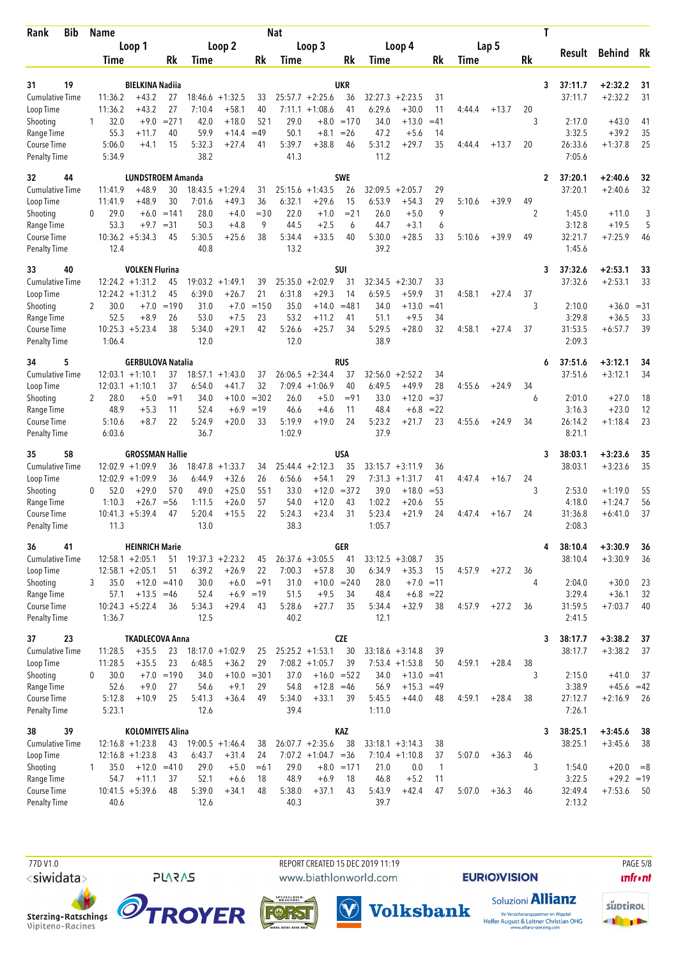| Loop 1<br>Loop 2<br>Loop 3<br>Loop 4<br>Lap 5<br>Result<br>Behind Rk<br>Rk<br>Rk<br>Rk<br>Rk<br>Rk<br>Time<br>Time<br>Time<br>Time<br>Time<br>19<br><b>BIELKINA Nadiia</b><br>UKR<br>$+2:32.2$<br>31<br>3<br>37:11.7<br>31<br><b>Cumulative Time</b><br>11:36.2<br>$+43.2$<br>$18:46.6 + 1:32.5$<br>$25:57.7 + 2:25.6$<br>36<br>32:27.3<br>$+2:23.5$<br>37:11.7<br>$+2:32.2$<br>31<br>27<br>33<br>31<br>11:36.2<br>$+43.2$<br>27<br>7:10.4<br>$+58.1$<br>40<br>$7:11.1 + 1:08.6$<br>41<br>6:29.6<br>$+30.0$<br>11<br>$+13.7$<br>20<br>Loop Time<br>4:44.4<br>32.0<br>$+9.0$<br>$= 271$<br>42.0<br>$+18.0$<br>521<br>29.0<br>$+8.0 = 170$<br>34.0<br>$+13.0$<br>$=41$<br>3<br>2:17.0<br>$+43.0$<br>Shooting<br>41<br>1<br>35<br>59.9<br>$=49$<br>50.1<br>$+8.1$<br>$=26$<br>47.2<br>3:32.5<br>$+39.2$<br>Range Time<br>55.3<br>$+11.7$<br>40<br>$+14.4$<br>$+5.6$<br>14<br>5:31.2<br>26:33.6<br>25<br>5:06.0<br>5:32.3<br>$+27.4$<br>5:39.7<br>$+38.8$<br>46<br>$+29.7$<br>35<br>20<br>$+1:37.8$<br>Course Time<br>$+4.1$<br>15<br>41<br>4:44.4<br>$+13.7$<br>38.2<br>41.3<br>11.2<br>5:34.9<br>7:05.6<br><b>Penalty Time</b><br><b>SWE</b><br>32<br>44<br><b>LUNDSTROEM Amanda</b><br>37:20.1<br>$+2:40.6$<br>2<br>32<br>11:41.9<br>$+48.9$<br>30<br>$18:43.5 + 1:29.4$<br>25:15.6<br>$+1:43.5$<br>26<br>32:09.5<br>$+2:05.7$<br>29<br>37:20.1<br>$+2:40.6$<br>32<br><b>Cumulative Time</b><br>31<br>30<br>+49.3<br>36<br>6:32.1<br>$+29.6$<br>6:53.9<br>$+54.3$<br>29<br>$+39.9$<br>49<br>Loop Time<br>11:41.9<br>$+48.9$<br>7:01.6<br>15<br>5:10.6<br>9<br>29.0<br>$+6.0$<br>$=141$<br>28.0<br>$+4.0$<br>$= 30$<br>22.0<br>$+1.0$<br>$= 21$<br>26.0<br>$+5.0$<br>2<br>1:45.0<br>3<br>Shooting<br>$\Omega$<br>$+11.0$<br>53.3<br>9<br>6<br>5<br>$+9.7$<br>$=31$<br>50.3<br>$+4.8$<br>44.5<br>$+2.5$<br>6<br>44.7<br>$+3.1$<br>3:12.8<br>$+19.5$<br>Range Time<br>5:30.0<br>$10:36.2 + 5:34.3$<br>5:30.5<br>$+25.6$<br>38<br>5:34.4<br>$+33.5$<br>$+28.5$<br>33<br>$+39.9$<br>49<br>32:21.7<br>$+7:25.9$<br>Course Time<br>45<br>40<br>5:10.6<br>46<br>39.2<br>40.8<br>13.2<br>1:45.6<br><b>Penalty Time</b><br>12.4<br><b>VOLKEN Flurina</b><br><b>SUI</b><br>37:32.6<br>$+2:53.1$<br>33<br>40<br>3<br>33<br>33<br><b>Cumulative Time</b><br>$12:24.2 + 1:31.2$<br>19:03.2<br>$+1:49.1$<br>25:35.0<br>$+2:02.9$<br>31<br>32:34.5<br>$+2:30.7$<br>33<br>37:32.6<br>$+2:53.1$<br>45<br>39<br>21<br>45<br>6:39.0<br>6:31.8<br>$+29.3$<br>14<br>6:59.5<br>$+59.9$<br>31<br>4:58.1<br>37<br>Loop Time<br>$12:24.2 + 1:31.2$<br>$+26.7$<br>$+27.4$<br>3<br>30.0<br>$=190$<br>31.0<br>$+7.0$<br>$=150$<br>35.0<br>$+14.0$<br>$= 481$<br>34.0<br>$+13.0$<br>$=41$<br>2:10.0<br>$+36.0$<br>$=31$<br>Shooting<br>$+7.0$<br>2<br>52.5<br>26<br>53.0<br>23<br>53.2<br>51.1<br>$+9.5$<br>34<br>3:29.8<br>$+36.5$<br>33<br>Range Time<br>$+8.9$<br>$+7.5$<br>$+11.2$<br>41<br>$10:25.3 + 5:23.4$<br>38<br>5:34.0<br>$+29.1$<br>42<br>5:26.6<br>$+25.7$<br>34<br>5:29.5<br>$+28.0$<br>32<br>4:58.1<br>37<br>31:53.5<br>39<br>Course Time<br>$+27.4$<br>$+6:57.7$<br>12.0<br>12.0<br>38.9<br>2:09.3<br>Penalty Time<br>1:06.4<br>34<br>5<br><b>GERBULOVA Natalia</b><br>rus<br>37:51.6<br>$+3:12.1$<br>34<br>6<br>$12:03.1 + 1:10.1$<br>$18:57.1 + 1:43.0$<br>$26:06.5 + 2:34.4$<br>32:56.0<br>$+2:52.2$<br>34<br>37:51.6<br>$+3:12.1$<br>34<br><b>Cumulative Time</b><br>37<br>37<br>37<br>32<br>$+49.9$<br>37<br>6:54.0<br>$+41.7$<br>$7:09.4 +1:06.9$<br>40<br>6:49.5<br>28<br>4:55.6<br>$+24.9$<br>34<br>Loop Time<br>$12:03.1 + 1:10.1$<br>$= 302$<br>$+12.0$<br>28.0<br>$+5.0$<br>$= 91$<br>34.0<br>$+10.0$<br>26.0<br>$+5.0$<br>$= 91$<br>33.0<br>$= 37$<br>2:01.0<br>$+27.0$<br>18<br>2<br>6<br>Shooting<br>48.9<br>$+5.3$<br>11<br>52.4<br>$+6.9$<br>$=19$<br>11<br>48.4<br>$+6.8$<br>$= 22$<br>3:16.3<br>$+23.0$<br>12<br>Range Time<br>46.6<br>$+4.6$<br>5:23.2<br>23<br>Course Time<br>5:10.6<br>$+8.7$<br>22<br>5:24.9<br>$+20.0$<br>33<br>5:19.9<br>$+19.0$<br>24<br>$+21.7$<br>4:55.6<br>$+24.9$<br>34<br>26:14.2<br>$+1:18.4$<br>23<br>36.7<br>37.9<br>8:21.1<br><b>Penalty Time</b><br>6:03.6<br>1:02.9<br>58<br><b>GROSSMAN Hallie</b><br>USA<br>38:03.1<br>$+3:23.6$<br>35<br>3<br>35<br>35<br>$12:02.9 + 1:09.9$<br>36<br>$+1:33.7$<br>$25:44.4 + 2:12.3$<br>35<br>33:15.7<br>38:03.1<br>$+3:23.6$<br><b>Cumulative Time</b><br>18:47.8<br>34<br>$+3:11.9$<br>36<br>29<br>$12:02.9 + 1:09.9$<br>36<br>6:44.9<br>$+32.6$<br>26<br>6:56.6<br>$7:31.3 +1:31.7$<br>24<br>Loop Time<br>$+54.1$<br>41<br>4:47.4<br>$+16.7$<br>$+29.0$<br>570<br>49.0<br>$+25.0$<br>551<br>$= 372$<br>$+18.0$<br>52.0<br>33.0<br>$+12.0$<br>39.0<br>$= 53$<br>3<br>2:53.0<br>$+1:19.0$<br>55<br>Shooting<br>0<br>1:10.3<br>$+26.7$<br>$+26.0$<br>57<br>$+12.0$<br>1:02.2<br>$+20.6$<br>55<br>4:18.0<br>$+1:24.7$<br>56<br>Range Time<br>$= 56$<br>1:11.5<br>54.0<br>43<br>5:20.4<br>22<br>5:23.4<br>37<br>$10:41.3 + 5:39.4$<br>$+15.5$<br>5:24.3<br>$+23.4$<br>31<br>$+21.9$<br>24<br>24<br>31:36.8<br>$+6:41.0$<br>Course Time<br>47<br>4:47.4<br>$+16.7$<br>11.3<br>13.0<br>38.3<br>1:05.7<br>2:08.3<br><b>Penalty Time</b><br><b>GER</b><br>36<br>41<br><b>HEINRICH Marie</b><br>38:10.4<br>$+3:30.9$<br>4<br>36<br><b>Cumulative Time</b><br>$12:58.1 + 2:05.1$<br>$19:37.3 + 2:23.2$<br>$26:37.6 + 3:05.5$<br>38:10.4<br>$+3:30.9$<br>51<br>45<br>41<br>$33:12.5 + 3:08.7$<br>35<br>36<br>$+35.3$<br>6:39.2<br>$+26.9$<br>22<br>7:00.3<br>6:34.9<br>Loop Time<br>$12:58.1 + 2:05.1$<br>51<br>$+57.8$<br>30<br>15<br>4:57.9<br>$+27.2$<br>36<br>35.0<br>$+6.0$<br>$= 91$<br>28.0<br>$+7.0 = 11$<br>$+30.0$<br>Shooting<br>$+12.0 = 410$<br>30.0<br>31.0<br>$+10.0 = 240$<br>4<br>2:04.0<br>23<br>3<br>3:29.4<br>$+13.5 = 46$<br>52.4<br>$+6.9$<br>$=19$<br>51.5<br>$+9.5$<br>34<br>48.4<br>$+6.8 = 22$<br>$+36.1$<br>32<br>Range Time<br>57.1<br>5:28.6<br>Course Time<br>$10:24.3 + 5:22.4$<br>5:34.3<br>$+29.4$<br>43<br>$+27.7$<br>35<br>5:34.4<br>$+32.9$<br>38<br>4:57.9<br>$+27.2$<br>36<br>31:59.5<br>$+7:03.7$<br>40<br>36<br>12.5<br>40.2<br>12.1<br><b>Penalty Time</b><br>1:36.7<br>2:41.5<br>23<br><b>CZE</b><br><b>TKADLECOVA Anna</b><br>38:17.7<br>$+3:38.2$<br>37<br>37<br>3<br><b>Cumulative Time</b><br>11:28.5<br>$+35.5$<br>23<br>$18:17.0 + 1:02.9$<br>$25:25.2 + 1:53.1$<br>30<br>38:17.7<br>$+3:38.2$<br>37<br>25<br>$33:18.6 + 3:14.8$<br>39<br>$7:08.2 +1:05.7$<br>11:28.5<br>$+35.5$<br>23<br>6:48.5<br>$+36.2$<br>29<br>39<br>$7:53.4$ +1:53.8<br>$+28.4$<br>38<br>Loop Time<br>50<br>4:59.1<br>Shooting<br>30.0<br>$+7.0 = 190$<br>34.0<br>$+10.0 = 301$<br>37.0<br>$+16.0 = 522$<br>$+13.0 = 41$<br>3<br>2:15.0<br>$+41.0$<br>0<br>34.0<br>37<br>3:38.9<br>Range Time<br>52.6<br>27<br>54.6<br>29<br>54.8<br>$+12.8 = 46$<br>56.9<br>$+15.3$<br>$+45.6 = 42$<br>$+9.0$<br>$+9.1$<br>$=49$<br>Course Time<br>5:12.8<br>$+10.9$<br>25<br>5:41.3<br>$+36.4$<br>49<br>5:34.0<br>$+33.1$<br>5:45.5<br>$+44.0$<br>4:59.1<br>$+28.4$<br>38<br>27:12.7<br>$+2:16.9$<br>-39<br>48<br>26<br><b>Penalty Time</b><br>5:23.1<br>12.6<br>39.4<br>7:26.1<br>1:11.0<br>39<br><b>KOLOMIYETS Alina</b><br><b>KAZ</b><br>38<br>38:25.1<br>$+3:45.6$<br>38<br>3<br><b>Cumulative Time</b><br>$26:07.7 + 2:35.6$<br>38<br>$33:18.1 + 3:14.3$<br>38:25.1<br>$+3:45.6$<br>$12:16.8 + 1:23.8$<br>43<br>$19:00.5 +1:46.4$<br>38<br>38<br>38<br>6:43.7<br>$+31.4$<br>$7:07.2 +1:04.7 = 36$<br>Loop Time<br>$12:16.8 + 1:23.8$<br>43<br>24<br>$7:10.4 + 1:10.8$<br>37<br>5:07.0<br>$+36.3$<br>46<br>3<br>29.0<br>29.0<br>$+8.0 = 171$<br>$+20.0$<br>Shooting<br>35.0<br>$+12.0$<br>$=410$<br>$+5.0$<br>$=61$<br>21.0<br>0.0<br>$\mathbf{1}$<br>1:54.0<br>$= 8$<br>1<br>48.9<br>3:22.5<br>$+11.1$<br>52.1<br>18<br>$+6.9$<br>46.8<br>$+5.2$<br>$+29.2 = 19$<br>Range Time<br>54.7<br>37<br>$+6.6$<br>18<br>11<br>5:38.0<br>Course Time<br>$10:41.5 + 5:39.6$<br>48<br>5:39.0<br>$+34.1$<br>48<br>$+37.1$<br>5:43.9<br>$+42.4$<br>47<br>5:07.0<br>32:49.4<br>$+7:53.6$<br>43<br>$+36.3$<br>- 50<br>46<br><b>Penalty Time</b><br>40.3<br>39.7<br>2:13.2<br>40.6<br>12.6 | <b>Bib</b><br>Rank | Name |  |  | <b>Nat</b> |  |  |  | Τ |  |  |
|-----------------------------------------------------------------------------------------------------------------------------------------------------------------------------------------------------------------------------------------------------------------------------------------------------------------------------------------------------------------------------------------------------------------------------------------------------------------------------------------------------------------------------------------------------------------------------------------------------------------------------------------------------------------------------------------------------------------------------------------------------------------------------------------------------------------------------------------------------------------------------------------------------------------------------------------------------------------------------------------------------------------------------------------------------------------------------------------------------------------------------------------------------------------------------------------------------------------------------------------------------------------------------------------------------------------------------------------------------------------------------------------------------------------------------------------------------------------------------------------------------------------------------------------------------------------------------------------------------------------------------------------------------------------------------------------------------------------------------------------------------------------------------------------------------------------------------------------------------------------------------------------------------------------------------------------------------------------------------------------------------------------------------------------------------------------------------------------------------------------------------------------------------------------------------------------------------------------------------------------------------------------------------------------------------------------------------------------------------------------------------------------------------------------------------------------------------------------------------------------------------------------------------------------------------------------------------------------------------------------------------------------------------------------------------------------------------------------------------------------------------------------------------------------------------------------------------------------------------------------------------------------------------------------------------------------------------------------------------------------------------------------------------------------------------------------------------------------------------------------------------------------------------------------------------------------------------------------------------------------------------------------------------------------------------------------------------------------------------------------------------------------------------------------------------------------------------------------------------------------------------------------------------------------------------------------------------------------------------------------------------------------------------------------------------------------------------------------------------------------------------------------------------------------------------------------------------------------------------------------------------------------------------------------------------------------------------------------------------------------------------------------------------------------------------------------------------------------------------------------------------------------------------------------------------------------------------------------------------------------------------------------------------------------------------------------------------------------------------------------------------------------------------------------------------------------------------------------------------------------------------------------------------------------------------------------------------------------------------------------------------------------------------------------------------------------------------------------------------------------------------------------------------------------------------------------------------------------------------------------------------------------------------------------------------------------------------------------------------------------------------------------------------------------------------------------------------------------------------------------------------------------------------------------------------------------------------------------------------------------------------------------------------------------------------------------------------------------------------------------------------------------------------------------------------------------------------------------------------------------------------------------------------------------------------------------------------------------------------------------------------------------------------------------------------------------------------------------------------------------------------------------------------------------------------------------------------------------------------------------------------------------------------------------------------------------------------------------------------------------------------------------------------------------------------------------------------------------------------------------------------------------------------------------------------------------------------------------------------------------------------------------------------------------------------------------------------------------------------------------------------------------------------------------------------------------------------------------------------------------------------------------------------------------------------------------------------------------------------------------------------------------------------------------------------------------------------------------------------------------------------------------------------------------------------------------------------------------------------------------------------------------------------------------------------------------------------------------------------------------------------------------------------------------------------------------------------------------------------------------------------------------------------------------------------------------------------------------------------------------------------------------------------------------------------------------------------------------------------------------------------------------------------------------------------------------------------------------------------------------------------------------------------------------------------------------------------------------------------------------------------------------------------------------------------------------------------------------------------------------------------------------------------------------------------------------------------------------------------------------------------------------------------------------------------------------------------------------------------------------------------------------------------------------------------------|--------------------|------|--|--|------------|--|--|--|---|--|--|
|                                                                                                                                                                                                                                                                                                                                                                                                                                                                                                                                                                                                                                                                                                                                                                                                                                                                                                                                                                                                                                                                                                                                                                                                                                                                                                                                                                                                                                                                                                                                                                                                                                                                                                                                                                                                                                                                                                                                                                                                                                                                                                                                                                                                                                                                                                                                                                                                                                                                                                                                                                                                                                                                                                                                                                                                                                                                                                                                                                                                                                                                                                                                                                                                                                                                                                                                                                                                                                                                                                                                                                                                                                                                                                                                                                                                                                                                                                                                                                                                                                                                                                                                                                                                                                                                                                                                                                                                                                                                                                                                                                                                                                                                                                                                                                                                                                                                                                                                                                                                                                                                                                                                                                                                                                                                                                                                                                                                                                                                                                                                                                                                                                                                                                                                                                                                                                                                                                                                                                                                                                                                                                                                                                                                                                                                                                                                                                                                                                                                                                                                                                                                                                                                                                                                                                                                                                                                                                                                                                                                                                                                                                                                                                                                                                                                                                                                                                                                                                                                                                                                                                                                                                                                                                                                                                                                                                                                                                                                                                                                                                                           |                    |      |  |  |            |  |  |  |   |  |  |
|                                                                                                                                                                                                                                                                                                                                                                                                                                                                                                                                                                                                                                                                                                                                                                                                                                                                                                                                                                                                                                                                                                                                                                                                                                                                                                                                                                                                                                                                                                                                                                                                                                                                                                                                                                                                                                                                                                                                                                                                                                                                                                                                                                                                                                                                                                                                                                                                                                                                                                                                                                                                                                                                                                                                                                                                                                                                                                                                                                                                                                                                                                                                                                                                                                                                                                                                                                                                                                                                                                                                                                                                                                                                                                                                                                                                                                                                                                                                                                                                                                                                                                                                                                                                                                                                                                                                                                                                                                                                                                                                                                                                                                                                                                                                                                                                                                                                                                                                                                                                                                                                                                                                                                                                                                                                                                                                                                                                                                                                                                                                                                                                                                                                                                                                                                                                                                                                                                                                                                                                                                                                                                                                                                                                                                                                                                                                                                                                                                                                                                                                                                                                                                                                                                                                                                                                                                                                                                                                                                                                                                                                                                                                                                                                                                                                                                                                                                                                                                                                                                                                                                                                                                                                                                                                                                                                                                                                                                                                                                                                                                                           |                    |      |  |  |            |  |  |  |   |  |  |
|                                                                                                                                                                                                                                                                                                                                                                                                                                                                                                                                                                                                                                                                                                                                                                                                                                                                                                                                                                                                                                                                                                                                                                                                                                                                                                                                                                                                                                                                                                                                                                                                                                                                                                                                                                                                                                                                                                                                                                                                                                                                                                                                                                                                                                                                                                                                                                                                                                                                                                                                                                                                                                                                                                                                                                                                                                                                                                                                                                                                                                                                                                                                                                                                                                                                                                                                                                                                                                                                                                                                                                                                                                                                                                                                                                                                                                                                                                                                                                                                                                                                                                                                                                                                                                                                                                                                                                                                                                                                                                                                                                                                                                                                                                                                                                                                                                                                                                                                                                                                                                                                                                                                                                                                                                                                                                                                                                                                                                                                                                                                                                                                                                                                                                                                                                                                                                                                                                                                                                                                                                                                                                                                                                                                                                                                                                                                                                                                                                                                                                                                                                                                                                                                                                                                                                                                                                                                                                                                                                                                                                                                                                                                                                                                                                                                                                                                                                                                                                                                                                                                                                                                                                                                                                                                                                                                                                                                                                                                                                                                                                                           |                    |      |  |  |            |  |  |  |   |  |  |
|                                                                                                                                                                                                                                                                                                                                                                                                                                                                                                                                                                                                                                                                                                                                                                                                                                                                                                                                                                                                                                                                                                                                                                                                                                                                                                                                                                                                                                                                                                                                                                                                                                                                                                                                                                                                                                                                                                                                                                                                                                                                                                                                                                                                                                                                                                                                                                                                                                                                                                                                                                                                                                                                                                                                                                                                                                                                                                                                                                                                                                                                                                                                                                                                                                                                                                                                                                                                                                                                                                                                                                                                                                                                                                                                                                                                                                                                                                                                                                                                                                                                                                                                                                                                                                                                                                                                                                                                                                                                                                                                                                                                                                                                                                                                                                                                                                                                                                                                                                                                                                                                                                                                                                                                                                                                                                                                                                                                                                                                                                                                                                                                                                                                                                                                                                                                                                                                                                                                                                                                                                                                                                                                                                                                                                                                                                                                                                                                                                                                                                                                                                                                                                                                                                                                                                                                                                                                                                                                                                                                                                                                                                                                                                                                                                                                                                                                                                                                                                                                                                                                                                                                                                                                                                                                                                                                                                                                                                                                                                                                                                                           |                    |      |  |  |            |  |  |  |   |  |  |
|                                                                                                                                                                                                                                                                                                                                                                                                                                                                                                                                                                                                                                                                                                                                                                                                                                                                                                                                                                                                                                                                                                                                                                                                                                                                                                                                                                                                                                                                                                                                                                                                                                                                                                                                                                                                                                                                                                                                                                                                                                                                                                                                                                                                                                                                                                                                                                                                                                                                                                                                                                                                                                                                                                                                                                                                                                                                                                                                                                                                                                                                                                                                                                                                                                                                                                                                                                                                                                                                                                                                                                                                                                                                                                                                                                                                                                                                                                                                                                                                                                                                                                                                                                                                                                                                                                                                                                                                                                                                                                                                                                                                                                                                                                                                                                                                                                                                                                                                                                                                                                                                                                                                                                                                                                                                                                                                                                                                                                                                                                                                                                                                                                                                                                                                                                                                                                                                                                                                                                                                                                                                                                                                                                                                                                                                                                                                                                                                                                                                                                                                                                                                                                                                                                                                                                                                                                                                                                                                                                                                                                                                                                                                                                                                                                                                                                                                                                                                                                                                                                                                                                                                                                                                                                                                                                                                                                                                                                                                                                                                                                                           |                    |      |  |  |            |  |  |  |   |  |  |
|                                                                                                                                                                                                                                                                                                                                                                                                                                                                                                                                                                                                                                                                                                                                                                                                                                                                                                                                                                                                                                                                                                                                                                                                                                                                                                                                                                                                                                                                                                                                                                                                                                                                                                                                                                                                                                                                                                                                                                                                                                                                                                                                                                                                                                                                                                                                                                                                                                                                                                                                                                                                                                                                                                                                                                                                                                                                                                                                                                                                                                                                                                                                                                                                                                                                                                                                                                                                                                                                                                                                                                                                                                                                                                                                                                                                                                                                                                                                                                                                                                                                                                                                                                                                                                                                                                                                                                                                                                                                                                                                                                                                                                                                                                                                                                                                                                                                                                                                                                                                                                                                                                                                                                                                                                                                                                                                                                                                                                                                                                                                                                                                                                                                                                                                                                                                                                                                                                                                                                                                                                                                                                                                                                                                                                                                                                                                                                                                                                                                                                                                                                                                                                                                                                                                                                                                                                                                                                                                                                                                                                                                                                                                                                                                                                                                                                                                                                                                                                                                                                                                                                                                                                                                                                                                                                                                                                                                                                                                                                                                                                                           |                    |      |  |  |            |  |  |  |   |  |  |
|                                                                                                                                                                                                                                                                                                                                                                                                                                                                                                                                                                                                                                                                                                                                                                                                                                                                                                                                                                                                                                                                                                                                                                                                                                                                                                                                                                                                                                                                                                                                                                                                                                                                                                                                                                                                                                                                                                                                                                                                                                                                                                                                                                                                                                                                                                                                                                                                                                                                                                                                                                                                                                                                                                                                                                                                                                                                                                                                                                                                                                                                                                                                                                                                                                                                                                                                                                                                                                                                                                                                                                                                                                                                                                                                                                                                                                                                                                                                                                                                                                                                                                                                                                                                                                                                                                                                                                                                                                                                                                                                                                                                                                                                                                                                                                                                                                                                                                                                                                                                                                                                                                                                                                                                                                                                                                                                                                                                                                                                                                                                                                                                                                                                                                                                                                                                                                                                                                                                                                                                                                                                                                                                                                                                                                                                                                                                                                                                                                                                                                                                                                                                                                                                                                                                                                                                                                                                                                                                                                                                                                                                                                                                                                                                                                                                                                                                                                                                                                                                                                                                                                                                                                                                                                                                                                                                                                                                                                                                                                                                                                                           |                    |      |  |  |            |  |  |  |   |  |  |
|                                                                                                                                                                                                                                                                                                                                                                                                                                                                                                                                                                                                                                                                                                                                                                                                                                                                                                                                                                                                                                                                                                                                                                                                                                                                                                                                                                                                                                                                                                                                                                                                                                                                                                                                                                                                                                                                                                                                                                                                                                                                                                                                                                                                                                                                                                                                                                                                                                                                                                                                                                                                                                                                                                                                                                                                                                                                                                                                                                                                                                                                                                                                                                                                                                                                                                                                                                                                                                                                                                                                                                                                                                                                                                                                                                                                                                                                                                                                                                                                                                                                                                                                                                                                                                                                                                                                                                                                                                                                                                                                                                                                                                                                                                                                                                                                                                                                                                                                                                                                                                                                                                                                                                                                                                                                                                                                                                                                                                                                                                                                                                                                                                                                                                                                                                                                                                                                                                                                                                                                                                                                                                                                                                                                                                                                                                                                                                                                                                                                                                                                                                                                                                                                                                                                                                                                                                                                                                                                                                                                                                                                                                                                                                                                                                                                                                                                                                                                                                                                                                                                                                                                                                                                                                                                                                                                                                                                                                                                                                                                                                                           |                    |      |  |  |            |  |  |  |   |  |  |
|                                                                                                                                                                                                                                                                                                                                                                                                                                                                                                                                                                                                                                                                                                                                                                                                                                                                                                                                                                                                                                                                                                                                                                                                                                                                                                                                                                                                                                                                                                                                                                                                                                                                                                                                                                                                                                                                                                                                                                                                                                                                                                                                                                                                                                                                                                                                                                                                                                                                                                                                                                                                                                                                                                                                                                                                                                                                                                                                                                                                                                                                                                                                                                                                                                                                                                                                                                                                                                                                                                                                                                                                                                                                                                                                                                                                                                                                                                                                                                                                                                                                                                                                                                                                                                                                                                                                                                                                                                                                                                                                                                                                                                                                                                                                                                                                                                                                                                                                                                                                                                                                                                                                                                                                                                                                                                                                                                                                                                                                                                                                                                                                                                                                                                                                                                                                                                                                                                                                                                                                                                                                                                                                                                                                                                                                                                                                                                                                                                                                                                                                                                                                                                                                                                                                                                                                                                                                                                                                                                                                                                                                                                                                                                                                                                                                                                                                                                                                                                                                                                                                                                                                                                                                                                                                                                                                                                                                                                                                                                                                                                                           |                    |      |  |  |            |  |  |  |   |  |  |
|                                                                                                                                                                                                                                                                                                                                                                                                                                                                                                                                                                                                                                                                                                                                                                                                                                                                                                                                                                                                                                                                                                                                                                                                                                                                                                                                                                                                                                                                                                                                                                                                                                                                                                                                                                                                                                                                                                                                                                                                                                                                                                                                                                                                                                                                                                                                                                                                                                                                                                                                                                                                                                                                                                                                                                                                                                                                                                                                                                                                                                                                                                                                                                                                                                                                                                                                                                                                                                                                                                                                                                                                                                                                                                                                                                                                                                                                                                                                                                                                                                                                                                                                                                                                                                                                                                                                                                                                                                                                                                                                                                                                                                                                                                                                                                                                                                                                                                                                                                                                                                                                                                                                                                                                                                                                                                                                                                                                                                                                                                                                                                                                                                                                                                                                                                                                                                                                                                                                                                                                                                                                                                                                                                                                                                                                                                                                                                                                                                                                                                                                                                                                                                                                                                                                                                                                                                                                                                                                                                                                                                                                                                                                                                                                                                                                                                                                                                                                                                                                                                                                                                                                                                                                                                                                                                                                                                                                                                                                                                                                                                                           |                    |      |  |  |            |  |  |  |   |  |  |
|                                                                                                                                                                                                                                                                                                                                                                                                                                                                                                                                                                                                                                                                                                                                                                                                                                                                                                                                                                                                                                                                                                                                                                                                                                                                                                                                                                                                                                                                                                                                                                                                                                                                                                                                                                                                                                                                                                                                                                                                                                                                                                                                                                                                                                                                                                                                                                                                                                                                                                                                                                                                                                                                                                                                                                                                                                                                                                                                                                                                                                                                                                                                                                                                                                                                                                                                                                                                                                                                                                                                                                                                                                                                                                                                                                                                                                                                                                                                                                                                                                                                                                                                                                                                                                                                                                                                                                                                                                                                                                                                                                                                                                                                                                                                                                                                                                                                                                                                                                                                                                                                                                                                                                                                                                                                                                                                                                                                                                                                                                                                                                                                                                                                                                                                                                                                                                                                                                                                                                                                                                                                                                                                                                                                                                                                                                                                                                                                                                                                                                                                                                                                                                                                                                                                                                                                                                                                                                                                                                                                                                                                                                                                                                                                                                                                                                                                                                                                                                                                                                                                                                                                                                                                                                                                                                                                                                                                                                                                                                                                                                                           |                    |      |  |  |            |  |  |  |   |  |  |
|                                                                                                                                                                                                                                                                                                                                                                                                                                                                                                                                                                                                                                                                                                                                                                                                                                                                                                                                                                                                                                                                                                                                                                                                                                                                                                                                                                                                                                                                                                                                                                                                                                                                                                                                                                                                                                                                                                                                                                                                                                                                                                                                                                                                                                                                                                                                                                                                                                                                                                                                                                                                                                                                                                                                                                                                                                                                                                                                                                                                                                                                                                                                                                                                                                                                                                                                                                                                                                                                                                                                                                                                                                                                                                                                                                                                                                                                                                                                                                                                                                                                                                                                                                                                                                                                                                                                                                                                                                                                                                                                                                                                                                                                                                                                                                                                                                                                                                                                                                                                                                                                                                                                                                                                                                                                                                                                                                                                                                                                                                                                                                                                                                                                                                                                                                                                                                                                                                                                                                                                                                                                                                                                                                                                                                                                                                                                                                                                                                                                                                                                                                                                                                                                                                                                                                                                                                                                                                                                                                                                                                                                                                                                                                                                                                                                                                                                                                                                                                                                                                                                                                                                                                                                                                                                                                                                                                                                                                                                                                                                                                                           |                    |      |  |  |            |  |  |  |   |  |  |
|                                                                                                                                                                                                                                                                                                                                                                                                                                                                                                                                                                                                                                                                                                                                                                                                                                                                                                                                                                                                                                                                                                                                                                                                                                                                                                                                                                                                                                                                                                                                                                                                                                                                                                                                                                                                                                                                                                                                                                                                                                                                                                                                                                                                                                                                                                                                                                                                                                                                                                                                                                                                                                                                                                                                                                                                                                                                                                                                                                                                                                                                                                                                                                                                                                                                                                                                                                                                                                                                                                                                                                                                                                                                                                                                                                                                                                                                                                                                                                                                                                                                                                                                                                                                                                                                                                                                                                                                                                                                                                                                                                                                                                                                                                                                                                                                                                                                                                                                                                                                                                                                                                                                                                                                                                                                                                                                                                                                                                                                                                                                                                                                                                                                                                                                                                                                                                                                                                                                                                                                                                                                                                                                                                                                                                                                                                                                                                                                                                                                                                                                                                                                                                                                                                                                                                                                                                                                                                                                                                                                                                                                                                                                                                                                                                                                                                                                                                                                                                                                                                                                                                                                                                                                                                                                                                                                                                                                                                                                                                                                                                                           |                    |      |  |  |            |  |  |  |   |  |  |
|                                                                                                                                                                                                                                                                                                                                                                                                                                                                                                                                                                                                                                                                                                                                                                                                                                                                                                                                                                                                                                                                                                                                                                                                                                                                                                                                                                                                                                                                                                                                                                                                                                                                                                                                                                                                                                                                                                                                                                                                                                                                                                                                                                                                                                                                                                                                                                                                                                                                                                                                                                                                                                                                                                                                                                                                                                                                                                                                                                                                                                                                                                                                                                                                                                                                                                                                                                                                                                                                                                                                                                                                                                                                                                                                                                                                                                                                                                                                                                                                                                                                                                                                                                                                                                                                                                                                                                                                                                                                                                                                                                                                                                                                                                                                                                                                                                                                                                                                                                                                                                                                                                                                                                                                                                                                                                                                                                                                                                                                                                                                                                                                                                                                                                                                                                                                                                                                                                                                                                                                                                                                                                                                                                                                                                                                                                                                                                                                                                                                                                                                                                                                                                                                                                                                                                                                                                                                                                                                                                                                                                                                                                                                                                                                                                                                                                                                                                                                                                                                                                                                                                                                                                                                                                                                                                                                                                                                                                                                                                                                                                                           |                    |      |  |  |            |  |  |  |   |  |  |
|                                                                                                                                                                                                                                                                                                                                                                                                                                                                                                                                                                                                                                                                                                                                                                                                                                                                                                                                                                                                                                                                                                                                                                                                                                                                                                                                                                                                                                                                                                                                                                                                                                                                                                                                                                                                                                                                                                                                                                                                                                                                                                                                                                                                                                                                                                                                                                                                                                                                                                                                                                                                                                                                                                                                                                                                                                                                                                                                                                                                                                                                                                                                                                                                                                                                                                                                                                                                                                                                                                                                                                                                                                                                                                                                                                                                                                                                                                                                                                                                                                                                                                                                                                                                                                                                                                                                                                                                                                                                                                                                                                                                                                                                                                                                                                                                                                                                                                                                                                                                                                                                                                                                                                                                                                                                                                                                                                                                                                                                                                                                                                                                                                                                                                                                                                                                                                                                                                                                                                                                                                                                                                                                                                                                                                                                                                                                                                                                                                                                                                                                                                                                                                                                                                                                                                                                                                                                                                                                                                                                                                                                                                                                                                                                                                                                                                                                                                                                                                                                                                                                                                                                                                                                                                                                                                                                                                                                                                                                                                                                                                                           |                    |      |  |  |            |  |  |  |   |  |  |
|                                                                                                                                                                                                                                                                                                                                                                                                                                                                                                                                                                                                                                                                                                                                                                                                                                                                                                                                                                                                                                                                                                                                                                                                                                                                                                                                                                                                                                                                                                                                                                                                                                                                                                                                                                                                                                                                                                                                                                                                                                                                                                                                                                                                                                                                                                                                                                                                                                                                                                                                                                                                                                                                                                                                                                                                                                                                                                                                                                                                                                                                                                                                                                                                                                                                                                                                                                                                                                                                                                                                                                                                                                                                                                                                                                                                                                                                                                                                                                                                                                                                                                                                                                                                                                                                                                                                                                                                                                                                                                                                                                                                                                                                                                                                                                                                                                                                                                                                                                                                                                                                                                                                                                                                                                                                                                                                                                                                                                                                                                                                                                                                                                                                                                                                                                                                                                                                                                                                                                                                                                                                                                                                                                                                                                                                                                                                                                                                                                                                                                                                                                                                                                                                                                                                                                                                                                                                                                                                                                                                                                                                                                                                                                                                                                                                                                                                                                                                                                                                                                                                                                                                                                                                                                                                                                                                                                                                                                                                                                                                                                                           |                    |      |  |  |            |  |  |  |   |  |  |
|                                                                                                                                                                                                                                                                                                                                                                                                                                                                                                                                                                                                                                                                                                                                                                                                                                                                                                                                                                                                                                                                                                                                                                                                                                                                                                                                                                                                                                                                                                                                                                                                                                                                                                                                                                                                                                                                                                                                                                                                                                                                                                                                                                                                                                                                                                                                                                                                                                                                                                                                                                                                                                                                                                                                                                                                                                                                                                                                                                                                                                                                                                                                                                                                                                                                                                                                                                                                                                                                                                                                                                                                                                                                                                                                                                                                                                                                                                                                                                                                                                                                                                                                                                                                                                                                                                                                                                                                                                                                                                                                                                                                                                                                                                                                                                                                                                                                                                                                                                                                                                                                                                                                                                                                                                                                                                                                                                                                                                                                                                                                                                                                                                                                                                                                                                                                                                                                                                                                                                                                                                                                                                                                                                                                                                                                                                                                                                                                                                                                                                                                                                                                                                                                                                                                                                                                                                                                                                                                                                                                                                                                                                                                                                                                                                                                                                                                                                                                                                                                                                                                                                                                                                                                                                                                                                                                                                                                                                                                                                                                                                                           |                    |      |  |  |            |  |  |  |   |  |  |
|                                                                                                                                                                                                                                                                                                                                                                                                                                                                                                                                                                                                                                                                                                                                                                                                                                                                                                                                                                                                                                                                                                                                                                                                                                                                                                                                                                                                                                                                                                                                                                                                                                                                                                                                                                                                                                                                                                                                                                                                                                                                                                                                                                                                                                                                                                                                                                                                                                                                                                                                                                                                                                                                                                                                                                                                                                                                                                                                                                                                                                                                                                                                                                                                                                                                                                                                                                                                                                                                                                                                                                                                                                                                                                                                                                                                                                                                                                                                                                                                                                                                                                                                                                                                                                                                                                                                                                                                                                                                                                                                                                                                                                                                                                                                                                                                                                                                                                                                                                                                                                                                                                                                                                                                                                                                                                                                                                                                                                                                                                                                                                                                                                                                                                                                                                                                                                                                                                                                                                                                                                                                                                                                                                                                                                                                                                                                                                                                                                                                                                                                                                                                                                                                                                                                                                                                                                                                                                                                                                                                                                                                                                                                                                                                                                                                                                                                                                                                                                                                                                                                                                                                                                                                                                                                                                                                                                                                                                                                                                                                                                                           |                    |      |  |  |            |  |  |  |   |  |  |
|                                                                                                                                                                                                                                                                                                                                                                                                                                                                                                                                                                                                                                                                                                                                                                                                                                                                                                                                                                                                                                                                                                                                                                                                                                                                                                                                                                                                                                                                                                                                                                                                                                                                                                                                                                                                                                                                                                                                                                                                                                                                                                                                                                                                                                                                                                                                                                                                                                                                                                                                                                                                                                                                                                                                                                                                                                                                                                                                                                                                                                                                                                                                                                                                                                                                                                                                                                                                                                                                                                                                                                                                                                                                                                                                                                                                                                                                                                                                                                                                                                                                                                                                                                                                                                                                                                                                                                                                                                                                                                                                                                                                                                                                                                                                                                                                                                                                                                                                                                                                                                                                                                                                                                                                                                                                                                                                                                                                                                                                                                                                                                                                                                                                                                                                                                                                                                                                                                                                                                                                                                                                                                                                                                                                                                                                                                                                                                                                                                                                                                                                                                                                                                                                                                                                                                                                                                                                                                                                                                                                                                                                                                                                                                                                                                                                                                                                                                                                                                                                                                                                                                                                                                                                                                                                                                                                                                                                                                                                                                                                                                                           |                    |      |  |  |            |  |  |  |   |  |  |
|                                                                                                                                                                                                                                                                                                                                                                                                                                                                                                                                                                                                                                                                                                                                                                                                                                                                                                                                                                                                                                                                                                                                                                                                                                                                                                                                                                                                                                                                                                                                                                                                                                                                                                                                                                                                                                                                                                                                                                                                                                                                                                                                                                                                                                                                                                                                                                                                                                                                                                                                                                                                                                                                                                                                                                                                                                                                                                                                                                                                                                                                                                                                                                                                                                                                                                                                                                                                                                                                                                                                                                                                                                                                                                                                                                                                                                                                                                                                                                                                                                                                                                                                                                                                                                                                                                                                                                                                                                                                                                                                                                                                                                                                                                                                                                                                                                                                                                                                                                                                                                                                                                                                                                                                                                                                                                                                                                                                                                                                                                                                                                                                                                                                                                                                                                                                                                                                                                                                                                                                                                                                                                                                                                                                                                                                                                                                                                                                                                                                                                                                                                                                                                                                                                                                                                                                                                                                                                                                                                                                                                                                                                                                                                                                                                                                                                                                                                                                                                                                                                                                                                                                                                                                                                                                                                                                                                                                                                                                                                                                                                                           |                    |      |  |  |            |  |  |  |   |  |  |
|                                                                                                                                                                                                                                                                                                                                                                                                                                                                                                                                                                                                                                                                                                                                                                                                                                                                                                                                                                                                                                                                                                                                                                                                                                                                                                                                                                                                                                                                                                                                                                                                                                                                                                                                                                                                                                                                                                                                                                                                                                                                                                                                                                                                                                                                                                                                                                                                                                                                                                                                                                                                                                                                                                                                                                                                                                                                                                                                                                                                                                                                                                                                                                                                                                                                                                                                                                                                                                                                                                                                                                                                                                                                                                                                                                                                                                                                                                                                                                                                                                                                                                                                                                                                                                                                                                                                                                                                                                                                                                                                                                                                                                                                                                                                                                                                                                                                                                                                                                                                                                                                                                                                                                                                                                                                                                                                                                                                                                                                                                                                                                                                                                                                                                                                                                                                                                                                                                                                                                                                                                                                                                                                                                                                                                                                                                                                                                                                                                                                                                                                                                                                                                                                                                                                                                                                                                                                                                                                                                                                                                                                                                                                                                                                                                                                                                                                                                                                                                                                                                                                                                                                                                                                                                                                                                                                                                                                                                                                                                                                                                                           |                    |      |  |  |            |  |  |  |   |  |  |
|                                                                                                                                                                                                                                                                                                                                                                                                                                                                                                                                                                                                                                                                                                                                                                                                                                                                                                                                                                                                                                                                                                                                                                                                                                                                                                                                                                                                                                                                                                                                                                                                                                                                                                                                                                                                                                                                                                                                                                                                                                                                                                                                                                                                                                                                                                                                                                                                                                                                                                                                                                                                                                                                                                                                                                                                                                                                                                                                                                                                                                                                                                                                                                                                                                                                                                                                                                                                                                                                                                                                                                                                                                                                                                                                                                                                                                                                                                                                                                                                                                                                                                                                                                                                                                                                                                                                                                                                                                                                                                                                                                                                                                                                                                                                                                                                                                                                                                                                                                                                                                                                                                                                                                                                                                                                                                                                                                                                                                                                                                                                                                                                                                                                                                                                                                                                                                                                                                                                                                                                                                                                                                                                                                                                                                                                                                                                                                                                                                                                                                                                                                                                                                                                                                                                                                                                                                                                                                                                                                                                                                                                                                                                                                                                                                                                                                                                                                                                                                                                                                                                                                                                                                                                                                                                                                                                                                                                                                                                                                                                                                                           |                    |      |  |  |            |  |  |  |   |  |  |
|                                                                                                                                                                                                                                                                                                                                                                                                                                                                                                                                                                                                                                                                                                                                                                                                                                                                                                                                                                                                                                                                                                                                                                                                                                                                                                                                                                                                                                                                                                                                                                                                                                                                                                                                                                                                                                                                                                                                                                                                                                                                                                                                                                                                                                                                                                                                                                                                                                                                                                                                                                                                                                                                                                                                                                                                                                                                                                                                                                                                                                                                                                                                                                                                                                                                                                                                                                                                                                                                                                                                                                                                                                                                                                                                                                                                                                                                                                                                                                                                                                                                                                                                                                                                                                                                                                                                                                                                                                                                                                                                                                                                                                                                                                                                                                                                                                                                                                                                                                                                                                                                                                                                                                                                                                                                                                                                                                                                                                                                                                                                                                                                                                                                                                                                                                                                                                                                                                                                                                                                                                                                                                                                                                                                                                                                                                                                                                                                                                                                                                                                                                                                                                                                                                                                                                                                                                                                                                                                                                                                                                                                                                                                                                                                                                                                                                                                                                                                                                                                                                                                                                                                                                                                                                                                                                                                                                                                                                                                                                                                                                                           |                    |      |  |  |            |  |  |  |   |  |  |
|                                                                                                                                                                                                                                                                                                                                                                                                                                                                                                                                                                                                                                                                                                                                                                                                                                                                                                                                                                                                                                                                                                                                                                                                                                                                                                                                                                                                                                                                                                                                                                                                                                                                                                                                                                                                                                                                                                                                                                                                                                                                                                                                                                                                                                                                                                                                                                                                                                                                                                                                                                                                                                                                                                                                                                                                                                                                                                                                                                                                                                                                                                                                                                                                                                                                                                                                                                                                                                                                                                                                                                                                                                                                                                                                                                                                                                                                                                                                                                                                                                                                                                                                                                                                                                                                                                                                                                                                                                                                                                                                                                                                                                                                                                                                                                                                                                                                                                                                                                                                                                                                                                                                                                                                                                                                                                                                                                                                                                                                                                                                                                                                                                                                                                                                                                                                                                                                                                                                                                                                                                                                                                                                                                                                                                                                                                                                                                                                                                                                                                                                                                                                                                                                                                                                                                                                                                                                                                                                                                                                                                                                                                                                                                                                                                                                                                                                                                                                                                                                                                                                                                                                                                                                                                                                                                                                                                                                                                                                                                                                                                                           |                    |      |  |  |            |  |  |  |   |  |  |
|                                                                                                                                                                                                                                                                                                                                                                                                                                                                                                                                                                                                                                                                                                                                                                                                                                                                                                                                                                                                                                                                                                                                                                                                                                                                                                                                                                                                                                                                                                                                                                                                                                                                                                                                                                                                                                                                                                                                                                                                                                                                                                                                                                                                                                                                                                                                                                                                                                                                                                                                                                                                                                                                                                                                                                                                                                                                                                                                                                                                                                                                                                                                                                                                                                                                                                                                                                                                                                                                                                                                                                                                                                                                                                                                                                                                                                                                                                                                                                                                                                                                                                                                                                                                                                                                                                                                                                                                                                                                                                                                                                                                                                                                                                                                                                                                                                                                                                                                                                                                                                                                                                                                                                                                                                                                                                                                                                                                                                                                                                                                                                                                                                                                                                                                                                                                                                                                                                                                                                                                                                                                                                                                                                                                                                                                                                                                                                                                                                                                                                                                                                                                                                                                                                                                                                                                                                                                                                                                                                                                                                                                                                                                                                                                                                                                                                                                                                                                                                                                                                                                                                                                                                                                                                                                                                                                                                                                                                                                                                                                                                                           |                    |      |  |  |            |  |  |  |   |  |  |
|                                                                                                                                                                                                                                                                                                                                                                                                                                                                                                                                                                                                                                                                                                                                                                                                                                                                                                                                                                                                                                                                                                                                                                                                                                                                                                                                                                                                                                                                                                                                                                                                                                                                                                                                                                                                                                                                                                                                                                                                                                                                                                                                                                                                                                                                                                                                                                                                                                                                                                                                                                                                                                                                                                                                                                                                                                                                                                                                                                                                                                                                                                                                                                                                                                                                                                                                                                                                                                                                                                                                                                                                                                                                                                                                                                                                                                                                                                                                                                                                                                                                                                                                                                                                                                                                                                                                                                                                                                                                                                                                                                                                                                                                                                                                                                                                                                                                                                                                                                                                                                                                                                                                                                                                                                                                                                                                                                                                                                                                                                                                                                                                                                                                                                                                                                                                                                                                                                                                                                                                                                                                                                                                                                                                                                                                                                                                                                                                                                                                                                                                                                                                                                                                                                                                                                                                                                                                                                                                                                                                                                                                                                                                                                                                                                                                                                                                                                                                                                                                                                                                                                                                                                                                                                                                                                                                                                                                                                                                                                                                                                                           |                    |      |  |  |            |  |  |  |   |  |  |
|                                                                                                                                                                                                                                                                                                                                                                                                                                                                                                                                                                                                                                                                                                                                                                                                                                                                                                                                                                                                                                                                                                                                                                                                                                                                                                                                                                                                                                                                                                                                                                                                                                                                                                                                                                                                                                                                                                                                                                                                                                                                                                                                                                                                                                                                                                                                                                                                                                                                                                                                                                                                                                                                                                                                                                                                                                                                                                                                                                                                                                                                                                                                                                                                                                                                                                                                                                                                                                                                                                                                                                                                                                                                                                                                                                                                                                                                                                                                                                                                                                                                                                                                                                                                                                                                                                                                                                                                                                                                                                                                                                                                                                                                                                                                                                                                                                                                                                                                                                                                                                                                                                                                                                                                                                                                                                                                                                                                                                                                                                                                                                                                                                                                                                                                                                                                                                                                                                                                                                                                                                                                                                                                                                                                                                                                                                                                                                                                                                                                                                                                                                                                                                                                                                                                                                                                                                                                                                                                                                                                                                                                                                                                                                                                                                                                                                                                                                                                                                                                                                                                                                                                                                                                                                                                                                                                                                                                                                                                                                                                                                                           |                    |      |  |  |            |  |  |  |   |  |  |
|                                                                                                                                                                                                                                                                                                                                                                                                                                                                                                                                                                                                                                                                                                                                                                                                                                                                                                                                                                                                                                                                                                                                                                                                                                                                                                                                                                                                                                                                                                                                                                                                                                                                                                                                                                                                                                                                                                                                                                                                                                                                                                                                                                                                                                                                                                                                                                                                                                                                                                                                                                                                                                                                                                                                                                                                                                                                                                                                                                                                                                                                                                                                                                                                                                                                                                                                                                                                                                                                                                                                                                                                                                                                                                                                                                                                                                                                                                                                                                                                                                                                                                                                                                                                                                                                                                                                                                                                                                                                                                                                                                                                                                                                                                                                                                                                                                                                                                                                                                                                                                                                                                                                                                                                                                                                                                                                                                                                                                                                                                                                                                                                                                                                                                                                                                                                                                                                                                                                                                                                                                                                                                                                                                                                                                                                                                                                                                                                                                                                                                                                                                                                                                                                                                                                                                                                                                                                                                                                                                                                                                                                                                                                                                                                                                                                                                                                                                                                                                                                                                                                                                                                                                                                                                                                                                                                                                                                                                                                                                                                                                                           |                    |      |  |  |            |  |  |  |   |  |  |
|                                                                                                                                                                                                                                                                                                                                                                                                                                                                                                                                                                                                                                                                                                                                                                                                                                                                                                                                                                                                                                                                                                                                                                                                                                                                                                                                                                                                                                                                                                                                                                                                                                                                                                                                                                                                                                                                                                                                                                                                                                                                                                                                                                                                                                                                                                                                                                                                                                                                                                                                                                                                                                                                                                                                                                                                                                                                                                                                                                                                                                                                                                                                                                                                                                                                                                                                                                                                                                                                                                                                                                                                                                                                                                                                                                                                                                                                                                                                                                                                                                                                                                                                                                                                                                                                                                                                                                                                                                                                                                                                                                                                                                                                                                                                                                                                                                                                                                                                                                                                                                                                                                                                                                                                                                                                                                                                                                                                                                                                                                                                                                                                                                                                                                                                                                                                                                                                                                                                                                                                                                                                                                                                                                                                                                                                                                                                                                                                                                                                                                                                                                                                                                                                                                                                                                                                                                                                                                                                                                                                                                                                                                                                                                                                                                                                                                                                                                                                                                                                                                                                                                                                                                                                                                                                                                                                                                                                                                                                                                                                                                                           |                    |      |  |  |            |  |  |  |   |  |  |
|                                                                                                                                                                                                                                                                                                                                                                                                                                                                                                                                                                                                                                                                                                                                                                                                                                                                                                                                                                                                                                                                                                                                                                                                                                                                                                                                                                                                                                                                                                                                                                                                                                                                                                                                                                                                                                                                                                                                                                                                                                                                                                                                                                                                                                                                                                                                                                                                                                                                                                                                                                                                                                                                                                                                                                                                                                                                                                                                                                                                                                                                                                                                                                                                                                                                                                                                                                                                                                                                                                                                                                                                                                                                                                                                                                                                                                                                                                                                                                                                                                                                                                                                                                                                                                                                                                                                                                                                                                                                                                                                                                                                                                                                                                                                                                                                                                                                                                                                                                                                                                                                                                                                                                                                                                                                                                                                                                                                                                                                                                                                                                                                                                                                                                                                                                                                                                                                                                                                                                                                                                                                                                                                                                                                                                                                                                                                                                                                                                                                                                                                                                                                                                                                                                                                                                                                                                                                                                                                                                                                                                                                                                                                                                                                                                                                                                                                                                                                                                                                                                                                                                                                                                                                                                                                                                                                                                                                                                                                                                                                                                                           |                    |      |  |  |            |  |  |  |   |  |  |
|                                                                                                                                                                                                                                                                                                                                                                                                                                                                                                                                                                                                                                                                                                                                                                                                                                                                                                                                                                                                                                                                                                                                                                                                                                                                                                                                                                                                                                                                                                                                                                                                                                                                                                                                                                                                                                                                                                                                                                                                                                                                                                                                                                                                                                                                                                                                                                                                                                                                                                                                                                                                                                                                                                                                                                                                                                                                                                                                                                                                                                                                                                                                                                                                                                                                                                                                                                                                                                                                                                                                                                                                                                                                                                                                                                                                                                                                                                                                                                                                                                                                                                                                                                                                                                                                                                                                                                                                                                                                                                                                                                                                                                                                                                                                                                                                                                                                                                                                                                                                                                                                                                                                                                                                                                                                                                                                                                                                                                                                                                                                                                                                                                                                                                                                                                                                                                                                                                                                                                                                                                                                                                                                                                                                                                                                                                                                                                                                                                                                                                                                                                                                                                                                                                                                                                                                                                                                                                                                                                                                                                                                                                                                                                                                                                                                                                                                                                                                                                                                                                                                                                                                                                                                                                                                                                                                                                                                                                                                                                                                                                                           |                    |      |  |  |            |  |  |  |   |  |  |
|                                                                                                                                                                                                                                                                                                                                                                                                                                                                                                                                                                                                                                                                                                                                                                                                                                                                                                                                                                                                                                                                                                                                                                                                                                                                                                                                                                                                                                                                                                                                                                                                                                                                                                                                                                                                                                                                                                                                                                                                                                                                                                                                                                                                                                                                                                                                                                                                                                                                                                                                                                                                                                                                                                                                                                                                                                                                                                                                                                                                                                                                                                                                                                                                                                                                                                                                                                                                                                                                                                                                                                                                                                                                                                                                                                                                                                                                                                                                                                                                                                                                                                                                                                                                                                                                                                                                                                                                                                                                                                                                                                                                                                                                                                                                                                                                                                                                                                                                                                                                                                                                                                                                                                                                                                                                                                                                                                                                                                                                                                                                                                                                                                                                                                                                                                                                                                                                                                                                                                                                                                                                                                                                                                                                                                                                                                                                                                                                                                                                                                                                                                                                                                                                                                                                                                                                                                                                                                                                                                                                                                                                                                                                                                                                                                                                                                                                                                                                                                                                                                                                                                                                                                                                                                                                                                                                                                                                                                                                                                                                                                                           |                    |      |  |  |            |  |  |  |   |  |  |
|                                                                                                                                                                                                                                                                                                                                                                                                                                                                                                                                                                                                                                                                                                                                                                                                                                                                                                                                                                                                                                                                                                                                                                                                                                                                                                                                                                                                                                                                                                                                                                                                                                                                                                                                                                                                                                                                                                                                                                                                                                                                                                                                                                                                                                                                                                                                                                                                                                                                                                                                                                                                                                                                                                                                                                                                                                                                                                                                                                                                                                                                                                                                                                                                                                                                                                                                                                                                                                                                                                                                                                                                                                                                                                                                                                                                                                                                                                                                                                                                                                                                                                                                                                                                                                                                                                                                                                                                                                                                                                                                                                                                                                                                                                                                                                                                                                                                                                                                                                                                                                                                                                                                                                                                                                                                                                                                                                                                                                                                                                                                                                                                                                                                                                                                                                                                                                                                                                                                                                                                                                                                                                                                                                                                                                                                                                                                                                                                                                                                                                                                                                                                                                                                                                                                                                                                                                                                                                                                                                                                                                                                                                                                                                                                                                                                                                                                                                                                                                                                                                                                                                                                                                                                                                                                                                                                                                                                                                                                                                                                                                                           |                    |      |  |  |            |  |  |  |   |  |  |
|                                                                                                                                                                                                                                                                                                                                                                                                                                                                                                                                                                                                                                                                                                                                                                                                                                                                                                                                                                                                                                                                                                                                                                                                                                                                                                                                                                                                                                                                                                                                                                                                                                                                                                                                                                                                                                                                                                                                                                                                                                                                                                                                                                                                                                                                                                                                                                                                                                                                                                                                                                                                                                                                                                                                                                                                                                                                                                                                                                                                                                                                                                                                                                                                                                                                                                                                                                                                                                                                                                                                                                                                                                                                                                                                                                                                                                                                                                                                                                                                                                                                                                                                                                                                                                                                                                                                                                                                                                                                                                                                                                                                                                                                                                                                                                                                                                                                                                                                                                                                                                                                                                                                                                                                                                                                                                                                                                                                                                                                                                                                                                                                                                                                                                                                                                                                                                                                                                                                                                                                                                                                                                                                                                                                                                                                                                                                                                                                                                                                                                                                                                                                                                                                                                                                                                                                                                                                                                                                                                                                                                                                                                                                                                                                                                                                                                                                                                                                                                                                                                                                                                                                                                                                                                                                                                                                                                                                                                                                                                                                                                                           |                    |      |  |  |            |  |  |  |   |  |  |
|                                                                                                                                                                                                                                                                                                                                                                                                                                                                                                                                                                                                                                                                                                                                                                                                                                                                                                                                                                                                                                                                                                                                                                                                                                                                                                                                                                                                                                                                                                                                                                                                                                                                                                                                                                                                                                                                                                                                                                                                                                                                                                                                                                                                                                                                                                                                                                                                                                                                                                                                                                                                                                                                                                                                                                                                                                                                                                                                                                                                                                                                                                                                                                                                                                                                                                                                                                                                                                                                                                                                                                                                                                                                                                                                                                                                                                                                                                                                                                                                                                                                                                                                                                                                                                                                                                                                                                                                                                                                                                                                                                                                                                                                                                                                                                                                                                                                                                                                                                                                                                                                                                                                                                                                                                                                                                                                                                                                                                                                                                                                                                                                                                                                                                                                                                                                                                                                                                                                                                                                                                                                                                                                                                                                                                                                                                                                                                                                                                                                                                                                                                                                                                                                                                                                                                                                                                                                                                                                                                                                                                                                                                                                                                                                                                                                                                                                                                                                                                                                                                                                                                                                                                                                                                                                                                                                                                                                                                                                                                                                                                                           |                    |      |  |  |            |  |  |  |   |  |  |
|                                                                                                                                                                                                                                                                                                                                                                                                                                                                                                                                                                                                                                                                                                                                                                                                                                                                                                                                                                                                                                                                                                                                                                                                                                                                                                                                                                                                                                                                                                                                                                                                                                                                                                                                                                                                                                                                                                                                                                                                                                                                                                                                                                                                                                                                                                                                                                                                                                                                                                                                                                                                                                                                                                                                                                                                                                                                                                                                                                                                                                                                                                                                                                                                                                                                                                                                                                                                                                                                                                                                                                                                                                                                                                                                                                                                                                                                                                                                                                                                                                                                                                                                                                                                                                                                                                                                                                                                                                                                                                                                                                                                                                                                                                                                                                                                                                                                                                                                                                                                                                                                                                                                                                                                                                                                                                                                                                                                                                                                                                                                                                                                                                                                                                                                                                                                                                                                                                                                                                                                                                                                                                                                                                                                                                                                                                                                                                                                                                                                                                                                                                                                                                                                                                                                                                                                                                                                                                                                                                                                                                                                                                                                                                                                                                                                                                                                                                                                                                                                                                                                                                                                                                                                                                                                                                                                                                                                                                                                                                                                                                                           |                    |      |  |  |            |  |  |  |   |  |  |
|                                                                                                                                                                                                                                                                                                                                                                                                                                                                                                                                                                                                                                                                                                                                                                                                                                                                                                                                                                                                                                                                                                                                                                                                                                                                                                                                                                                                                                                                                                                                                                                                                                                                                                                                                                                                                                                                                                                                                                                                                                                                                                                                                                                                                                                                                                                                                                                                                                                                                                                                                                                                                                                                                                                                                                                                                                                                                                                                                                                                                                                                                                                                                                                                                                                                                                                                                                                                                                                                                                                                                                                                                                                                                                                                                                                                                                                                                                                                                                                                                                                                                                                                                                                                                                                                                                                                                                                                                                                                                                                                                                                                                                                                                                                                                                                                                                                                                                                                                                                                                                                                                                                                                                                                                                                                                                                                                                                                                                                                                                                                                                                                                                                                                                                                                                                                                                                                                                                                                                                                                                                                                                                                                                                                                                                                                                                                                                                                                                                                                                                                                                                                                                                                                                                                                                                                                                                                                                                                                                                                                                                                                                                                                                                                                                                                                                                                                                                                                                                                                                                                                                                                                                                                                                                                                                                                                                                                                                                                                                                                                                                           |                    |      |  |  |            |  |  |  |   |  |  |
|                                                                                                                                                                                                                                                                                                                                                                                                                                                                                                                                                                                                                                                                                                                                                                                                                                                                                                                                                                                                                                                                                                                                                                                                                                                                                                                                                                                                                                                                                                                                                                                                                                                                                                                                                                                                                                                                                                                                                                                                                                                                                                                                                                                                                                                                                                                                                                                                                                                                                                                                                                                                                                                                                                                                                                                                                                                                                                                                                                                                                                                                                                                                                                                                                                                                                                                                                                                                                                                                                                                                                                                                                                                                                                                                                                                                                                                                                                                                                                                                                                                                                                                                                                                                                                                                                                                                                                                                                                                                                                                                                                                                                                                                                                                                                                                                                                                                                                                                                                                                                                                                                                                                                                                                                                                                                                                                                                                                                                                                                                                                                                                                                                                                                                                                                                                                                                                                                                                                                                                                                                                                                                                                                                                                                                                                                                                                                                                                                                                                                                                                                                                                                                                                                                                                                                                                                                                                                                                                                                                                                                                                                                                                                                                                                                                                                                                                                                                                                                                                                                                                                                                                                                                                                                                                                                                                                                                                                                                                                                                                                                                           |                    |      |  |  |            |  |  |  |   |  |  |
|                                                                                                                                                                                                                                                                                                                                                                                                                                                                                                                                                                                                                                                                                                                                                                                                                                                                                                                                                                                                                                                                                                                                                                                                                                                                                                                                                                                                                                                                                                                                                                                                                                                                                                                                                                                                                                                                                                                                                                                                                                                                                                                                                                                                                                                                                                                                                                                                                                                                                                                                                                                                                                                                                                                                                                                                                                                                                                                                                                                                                                                                                                                                                                                                                                                                                                                                                                                                                                                                                                                                                                                                                                                                                                                                                                                                                                                                                                                                                                                                                                                                                                                                                                                                                                                                                                                                                                                                                                                                                                                                                                                                                                                                                                                                                                                                                                                                                                                                                                                                                                                                                                                                                                                                                                                                                                                                                                                                                                                                                                                                                                                                                                                                                                                                                                                                                                                                                                                                                                                                                                                                                                                                                                                                                                                                                                                                                                                                                                                                                                                                                                                                                                                                                                                                                                                                                                                                                                                                                                                                                                                                                                                                                                                                                                                                                                                                                                                                                                                                                                                                                                                                                                                                                                                                                                                                                                                                                                                                                                                                                                                           |                    |      |  |  |            |  |  |  |   |  |  |
|                                                                                                                                                                                                                                                                                                                                                                                                                                                                                                                                                                                                                                                                                                                                                                                                                                                                                                                                                                                                                                                                                                                                                                                                                                                                                                                                                                                                                                                                                                                                                                                                                                                                                                                                                                                                                                                                                                                                                                                                                                                                                                                                                                                                                                                                                                                                                                                                                                                                                                                                                                                                                                                                                                                                                                                                                                                                                                                                                                                                                                                                                                                                                                                                                                                                                                                                                                                                                                                                                                                                                                                                                                                                                                                                                                                                                                                                                                                                                                                                                                                                                                                                                                                                                                                                                                                                                                                                                                                                                                                                                                                                                                                                                                                                                                                                                                                                                                                                                                                                                                                                                                                                                                                                                                                                                                                                                                                                                                                                                                                                                                                                                                                                                                                                                                                                                                                                                                                                                                                                                                                                                                                                                                                                                                                                                                                                                                                                                                                                                                                                                                                                                                                                                                                                                                                                                                                                                                                                                                                                                                                                                                                                                                                                                                                                                                                                                                                                                                                                                                                                                                                                                                                                                                                                                                                                                                                                                                                                                                                                                                                           |                    |      |  |  |            |  |  |  |   |  |  |
|                                                                                                                                                                                                                                                                                                                                                                                                                                                                                                                                                                                                                                                                                                                                                                                                                                                                                                                                                                                                                                                                                                                                                                                                                                                                                                                                                                                                                                                                                                                                                                                                                                                                                                                                                                                                                                                                                                                                                                                                                                                                                                                                                                                                                                                                                                                                                                                                                                                                                                                                                                                                                                                                                                                                                                                                                                                                                                                                                                                                                                                                                                                                                                                                                                                                                                                                                                                                                                                                                                                                                                                                                                                                                                                                                                                                                                                                                                                                                                                                                                                                                                                                                                                                                                                                                                                                                                                                                                                                                                                                                                                                                                                                                                                                                                                                                                                                                                                                                                                                                                                                                                                                                                                                                                                                                                                                                                                                                                                                                                                                                                                                                                                                                                                                                                                                                                                                                                                                                                                                                                                                                                                                                                                                                                                                                                                                                                                                                                                                                                                                                                                                                                                                                                                                                                                                                                                                                                                                                                                                                                                                                                                                                                                                                                                                                                                                                                                                                                                                                                                                                                                                                                                                                                                                                                                                                                                                                                                                                                                                                                                           |                    |      |  |  |            |  |  |  |   |  |  |
|                                                                                                                                                                                                                                                                                                                                                                                                                                                                                                                                                                                                                                                                                                                                                                                                                                                                                                                                                                                                                                                                                                                                                                                                                                                                                                                                                                                                                                                                                                                                                                                                                                                                                                                                                                                                                                                                                                                                                                                                                                                                                                                                                                                                                                                                                                                                                                                                                                                                                                                                                                                                                                                                                                                                                                                                                                                                                                                                                                                                                                                                                                                                                                                                                                                                                                                                                                                                                                                                                                                                                                                                                                                                                                                                                                                                                                                                                                                                                                                                                                                                                                                                                                                                                                                                                                                                                                                                                                                                                                                                                                                                                                                                                                                                                                                                                                                                                                                                                                                                                                                                                                                                                                                                                                                                                                                                                                                                                                                                                                                                                                                                                                                                                                                                                                                                                                                                                                                                                                                                                                                                                                                                                                                                                                                                                                                                                                                                                                                                                                                                                                                                                                                                                                                                                                                                                                                                                                                                                                                                                                                                                                                                                                                                                                                                                                                                                                                                                                                                                                                                                                                                                                                                                                                                                                                                                                                                                                                                                                                                                                                           |                    |      |  |  |            |  |  |  |   |  |  |
|                                                                                                                                                                                                                                                                                                                                                                                                                                                                                                                                                                                                                                                                                                                                                                                                                                                                                                                                                                                                                                                                                                                                                                                                                                                                                                                                                                                                                                                                                                                                                                                                                                                                                                                                                                                                                                                                                                                                                                                                                                                                                                                                                                                                                                                                                                                                                                                                                                                                                                                                                                                                                                                                                                                                                                                                                                                                                                                                                                                                                                                                                                                                                                                                                                                                                                                                                                                                                                                                                                                                                                                                                                                                                                                                                                                                                                                                                                                                                                                                                                                                                                                                                                                                                                                                                                                                                                                                                                                                                                                                                                                                                                                                                                                                                                                                                                                                                                                                                                                                                                                                                                                                                                                                                                                                                                                                                                                                                                                                                                                                                                                                                                                                                                                                                                                                                                                                                                                                                                                                                                                                                                                                                                                                                                                                                                                                                                                                                                                                                                                                                                                                                                                                                                                                                                                                                                                                                                                                                                                                                                                                                                                                                                                                                                                                                                                                                                                                                                                                                                                                                                                                                                                                                                                                                                                                                                                                                                                                                                                                                                                           |                    |      |  |  |            |  |  |  |   |  |  |
|                                                                                                                                                                                                                                                                                                                                                                                                                                                                                                                                                                                                                                                                                                                                                                                                                                                                                                                                                                                                                                                                                                                                                                                                                                                                                                                                                                                                                                                                                                                                                                                                                                                                                                                                                                                                                                                                                                                                                                                                                                                                                                                                                                                                                                                                                                                                                                                                                                                                                                                                                                                                                                                                                                                                                                                                                                                                                                                                                                                                                                                                                                                                                                                                                                                                                                                                                                                                                                                                                                                                                                                                                                                                                                                                                                                                                                                                                                                                                                                                                                                                                                                                                                                                                                                                                                                                                                                                                                                                                                                                                                                                                                                                                                                                                                                                                                                                                                                                                                                                                                                                                                                                                                                                                                                                                                                                                                                                                                                                                                                                                                                                                                                                                                                                                                                                                                                                                                                                                                                                                                                                                                                                                                                                                                                                                                                                                                                                                                                                                                                                                                                                                                                                                                                                                                                                                                                                                                                                                                                                                                                                                                                                                                                                                                                                                                                                                                                                                                                                                                                                                                                                                                                                                                                                                                                                                                                                                                                                                                                                                                                           |                    |      |  |  |            |  |  |  |   |  |  |
|                                                                                                                                                                                                                                                                                                                                                                                                                                                                                                                                                                                                                                                                                                                                                                                                                                                                                                                                                                                                                                                                                                                                                                                                                                                                                                                                                                                                                                                                                                                                                                                                                                                                                                                                                                                                                                                                                                                                                                                                                                                                                                                                                                                                                                                                                                                                                                                                                                                                                                                                                                                                                                                                                                                                                                                                                                                                                                                                                                                                                                                                                                                                                                                                                                                                                                                                                                                                                                                                                                                                                                                                                                                                                                                                                                                                                                                                                                                                                                                                                                                                                                                                                                                                                                                                                                                                                                                                                                                                                                                                                                                                                                                                                                                                                                                                                                                                                                                                                                                                                                                                                                                                                                                                                                                                                                                                                                                                                                                                                                                                                                                                                                                                                                                                                                                                                                                                                                                                                                                                                                                                                                                                                                                                                                                                                                                                                                                                                                                                                                                                                                                                                                                                                                                                                                                                                                                                                                                                                                                                                                                                                                                                                                                                                                                                                                                                                                                                                                                                                                                                                                                                                                                                                                                                                                                                                                                                                                                                                                                                                                                           |                    |      |  |  |            |  |  |  |   |  |  |
|                                                                                                                                                                                                                                                                                                                                                                                                                                                                                                                                                                                                                                                                                                                                                                                                                                                                                                                                                                                                                                                                                                                                                                                                                                                                                                                                                                                                                                                                                                                                                                                                                                                                                                                                                                                                                                                                                                                                                                                                                                                                                                                                                                                                                                                                                                                                                                                                                                                                                                                                                                                                                                                                                                                                                                                                                                                                                                                                                                                                                                                                                                                                                                                                                                                                                                                                                                                                                                                                                                                                                                                                                                                                                                                                                                                                                                                                                                                                                                                                                                                                                                                                                                                                                                                                                                                                                                                                                                                                                                                                                                                                                                                                                                                                                                                                                                                                                                                                                                                                                                                                                                                                                                                                                                                                                                                                                                                                                                                                                                                                                                                                                                                                                                                                                                                                                                                                                                                                                                                                                                                                                                                                                                                                                                                                                                                                                                                                                                                                                                                                                                                                                                                                                                                                                                                                                                                                                                                                                                                                                                                                                                                                                                                                                                                                                                                                                                                                                                                                                                                                                                                                                                                                                                                                                                                                                                                                                                                                                                                                                                                           |                    |      |  |  |            |  |  |  |   |  |  |
|                                                                                                                                                                                                                                                                                                                                                                                                                                                                                                                                                                                                                                                                                                                                                                                                                                                                                                                                                                                                                                                                                                                                                                                                                                                                                                                                                                                                                                                                                                                                                                                                                                                                                                                                                                                                                                                                                                                                                                                                                                                                                                                                                                                                                                                                                                                                                                                                                                                                                                                                                                                                                                                                                                                                                                                                                                                                                                                                                                                                                                                                                                                                                                                                                                                                                                                                                                                                                                                                                                                                                                                                                                                                                                                                                                                                                                                                                                                                                                                                                                                                                                                                                                                                                                                                                                                                                                                                                                                                                                                                                                                                                                                                                                                                                                                                                                                                                                                                                                                                                                                                                                                                                                                                                                                                                                                                                                                                                                                                                                                                                                                                                                                                                                                                                                                                                                                                                                                                                                                                                                                                                                                                                                                                                                                                                                                                                                                                                                                                                                                                                                                                                                                                                                                                                                                                                                                                                                                                                                                                                                                                                                                                                                                                                                                                                                                                                                                                                                                                                                                                                                                                                                                                                                                                                                                                                                                                                                                                                                                                                                                           |                    |      |  |  |            |  |  |  |   |  |  |
|                                                                                                                                                                                                                                                                                                                                                                                                                                                                                                                                                                                                                                                                                                                                                                                                                                                                                                                                                                                                                                                                                                                                                                                                                                                                                                                                                                                                                                                                                                                                                                                                                                                                                                                                                                                                                                                                                                                                                                                                                                                                                                                                                                                                                                                                                                                                                                                                                                                                                                                                                                                                                                                                                                                                                                                                                                                                                                                                                                                                                                                                                                                                                                                                                                                                                                                                                                                                                                                                                                                                                                                                                                                                                                                                                                                                                                                                                                                                                                                                                                                                                                                                                                                                                                                                                                                                                                                                                                                                                                                                                                                                                                                                                                                                                                                                                                                                                                                                                                                                                                                                                                                                                                                                                                                                                                                                                                                                                                                                                                                                                                                                                                                                                                                                                                                                                                                                                                                                                                                                                                                                                                                                                                                                                                                                                                                                                                                                                                                                                                                                                                                                                                                                                                                                                                                                                                                                                                                                                                                                                                                                                                                                                                                                                                                                                                                                                                                                                                                                                                                                                                                                                                                                                                                                                                                                                                                                                                                                                                                                                                                           |                    |      |  |  |            |  |  |  |   |  |  |

 77D V1.0 REPORT CREATED 15 DEC 2019 11:19 PAGE 5/8www.biathlonworld.com

 $(\blacktriangledown)$ 

**EURIOVISION** 

Soluzioni **Allianz** 

**unfront** 



Sterzing-Ratschings<br>Vipiteno-Racines



**PLARAS** 



**Volksbank** Ihr Versicherungspartner im Wipptal<br>Helfer August & Leitner Christian OHG<br>www.allianz-sterzing.com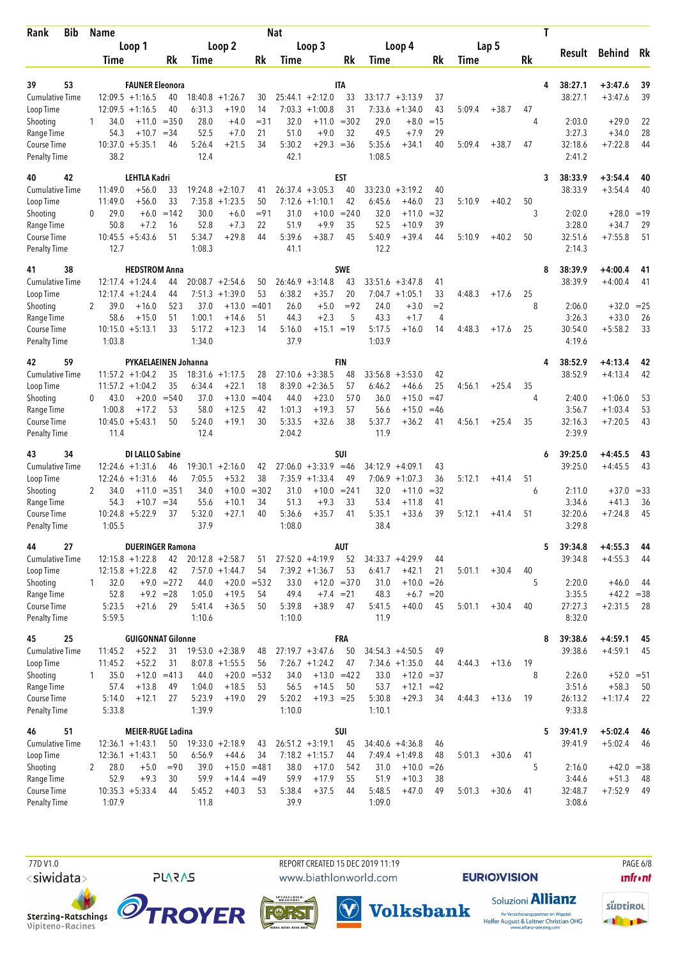| <b>Bib</b><br>Rank                  |          | <b>Name</b>       |                                             |                    |                   |                                   |               | <b>Nat</b>       |                                       |                  |                  |                                         |                |             |         |         | Τ                       |                        |          |
|-------------------------------------|----------|-------------------|---------------------------------------------|--------------------|-------------------|-----------------------------------|---------------|------------------|---------------------------------------|------------------|------------------|-----------------------------------------|----------------|-------------|---------|---------|-------------------------|------------------------|----------|
|                                     |          |                   | Loop 1                                      |                    |                   | Loop 2                            |               |                  | Loop 3                                |                  |                  | Loop 4                                  |                |             | Lap 5   |         | Result                  | Behind Rk              |          |
|                                     |          | <b>Time</b>       |                                             | Rk                 | <b>Time</b>       |                                   | Rk            | Time             |                                       | Rk               | Time             |                                         | Rk             | <b>Time</b> |         | Rk      |                         |                        |          |
|                                     |          |                   |                                             |                    |                   |                                   |               |                  |                                       |                  |                  |                                         |                |             |         |         |                         |                        |          |
| 39<br>53<br><b>Cumulative Time</b>  |          |                   | <b>FAUNER Eleonora</b><br>$12:09.5 +1:16.5$ |                    |                   |                                   |               |                  |                                       | <b>ITA</b>       |                  |                                         |                |             |         |         | 38:27.1<br>4<br>38:27.1 | $+3:47.6$<br>$+3:47.6$ | 39       |
| Loop Time                           |          |                   | $12:09.5 +1:16.5$                           | 40<br>40           | 18:40.8<br>6:31.3 | $+1:26.7$<br>$+19.0$              | 30<br>14      | 7:03.3           | $25:44.1 + 2:12.0$<br>$+1:00.8$       | 33<br>31         | 7:33.6           | $33:17.7 + 3:13.9$<br>$+1:34.0$         | 37<br>43       | 5:09.4      | $+38.7$ | 47      |                         |                        | 39       |
| Shooting                            | 1        | 34.0              | $+11.0$                                     | $= 350$            | 28.0              | $+4.0$                            | $= 31$        | 32.0             | $+11.0$                               | $= 302$          | 29.0             | $+8.0$                                  | $=15$          |             |         | 4       | 2:03.0                  | $+29.0$                | 22       |
| Range Time                          |          | 54.3              | $+10.7$                                     | $= 34$             | 52.5              | $+7.0$                            | 21            | 51.0             | $+9.0$                                | 32               | 49.5             | $+7.9$                                  | 29             |             |         |         | 3:27.3                  | $+34.0$                | 28       |
| Course Time                         |          |                   | $10:37.0 + 5:35.1$                          | 46                 | 5:26.4            | $+21.5$                           | 34            | 5:30.2           | $+29.3 = 36$                          |                  | 5:35.6           | $+34.1$                                 | 40             | 5:09.4      | $+38.7$ | 47      | 32:18.6                 | $+7:22.8$              | 44       |
| <b>Penalty Time</b>                 |          | 38.2              |                                             |                    | 12.4              |                                   |               | 42.1             |                                       |                  | 1:08.5           |                                         |                |             |         |         | 2:41.2                  |                        |          |
| 42<br>40                            |          |                   | <b>LEHTLA Kadri</b>                         |                    |                   |                                   |               |                  |                                       | <b>EST</b>       |                  |                                         |                |             |         |         | 38:33.9<br>3            | $+3:54.4$              | 40       |
| <b>Cumulative Time</b>              |          | 11:49.0           | $+56.0$                                     | 33                 |                   | $19:24.8 + 2:10.7$                | 41            |                  | $26:37.4 + 3:05.3$                    | 40               | 33:23.0          | $+3:19.2$                               | 40             |             |         |         | 38:33.9                 | $+3:54.4$              | 40       |
| Loop Time                           |          | 11:49.0           | $+56.0$                                     | 33                 | 7:35.8            | $+1:23.5$                         | 50            | 7:12.6           | $+1:10.1$                             | 42               | 6:45.6           | $+46.0$                                 | 23             | 5:10.9      | $+40.2$ | 50      |                         |                        |          |
| Shooting                            | 0        | 29.0              | $+6.0$                                      | $=142$             | 30.0              | $+6.0$                            | $= 91$        | 31.0             | $+10.0$                               | $= 240$          | 32.0             | $+11.0$                                 | $=32$          |             |         | 3       | 2:02.0                  | $+28.0$                | $=19$    |
| Range Time<br>Course Time           |          | 50.8              | $+7.2$<br>$10:45.5 + 5:43.6$                | 16<br>51           | 52.8<br>5:34.7    | $+7.3$<br>$+29.8$                 | 22<br>44      | 51.9<br>5:39.6   | $+9.9$<br>$+38.7$                     | 35<br>45         | 52.5<br>5:40.9   | $+10.9$<br>$+39.4$                      | 39<br>44       | 5:10.9      | $+40.2$ | 50      | 3:28.0<br>32:51.6       | $+34.7$<br>$+7:55.8$   | 29<br>51 |
| <b>Penalty Time</b>                 |          | 12.7              |                                             |                    | 1:08.3            |                                   |               | 41.1             |                                       |                  | 12.2             |                                         |                |             |         |         | 2:14.3                  |                        |          |
|                                     |          |                   |                                             |                    |                   |                                   |               |                  |                                       |                  |                  |                                         |                |             |         |         |                         |                        |          |
| 38<br>41<br><b>Cumulative Time</b>  |          |                   | <b>HEDSTROM Anna</b><br>$12:17.4 + 1:24.4$  | 44                 | 20:08.7           | $+2:54.6$                         | 50            |                  | $26:46.9 + 3:14.8$                    | <b>SWE</b><br>43 | 33:51.6          | $+3:47.8$                               | 41             |             |         |         | 38:39.9<br>8<br>38:39.9 | $+4:00.4$<br>$+4:00.4$ | 41<br>41 |
| Loop Time                           |          |                   | $12:17.4 + 1:24.4$                          | 44                 | 7:51.3            | $+1:39.0$                         | 53            | 6:38.2           | $+35.7$                               | 20               | 7:04.7           | $+1:05.1$                               | 33             | 4:48.3      | $+17.6$ | 25      |                         |                        |          |
| Shooting                            | 2        | 39.0              | $+16.0$                                     | 523                | 37.0              | $+13.0$                           | $=401$        | 26.0             | $+5.0$                                | $= 92$           | 24.0             | $+3.0$                                  | $=2$           |             |         | 8       | 2:06.0                  | $+32.0 = 25$           |          |
| Range Time                          |          | 58.6              | $+15.0$                                     | 51                 | 1:00.1            | $+14.6$                           | 51            | 44.3             | $+2.3$                                | 5                | 43.3             | $+1.7$                                  | 4              |             |         |         | 3:26.3                  | $+33.0$                | 26       |
| Course Time                         |          |                   | $10:15.0 + 5:13.1$                          | 33                 | 5:17.2            | $+12.3$                           | 14            | 5:16.0           | $+15.1 = 19$                          |                  | 5:17.5           | $+16.0$                                 | 14             | 4:48.3      | $+17.6$ | 25      | 30:54.0                 | $+5:58.2$              | 33       |
| <b>Penalty Time</b>                 |          | 1:03.8            |                                             |                    | 1:34.0            |                                   |               | 37.9             |                                       |                  | 1:03.9           |                                         |                |             |         |         | 4:19.6                  |                        |          |
| 59<br>42                            |          |                   | PYKAELAEINEN Johanna                        |                    |                   |                                   |               |                  |                                       | <b>FIN</b>       |                  |                                         |                |             |         |         | 38:52.9<br>4            | $+4:13.4$              | 42       |
| <b>Cumulative Time</b>              |          |                   | $11:57.2 + 1:04.2$                          | 35                 | 18:31.6           | $+1:17.5$                         | 28            |                  | $27:10.6 + 3:38.5$                    | 48               |                  | $33:56.8 + 3:53.0$                      | 42             |             |         |         | 38:52.9                 | $+4:13.4$              | 42       |
| Loop Time                           |          |                   | $11:57.2 + 1:04.2$                          | 35                 | 6:34.4            | $+22.1$                           | 18            |                  | $8:39.0 +2:36.5$                      | 57               | 6:46.2           | $+46.6$                                 | 25             | 4:56.1      | $+25.4$ | 35      |                         |                        |          |
| Shooting<br>Range Time              | $\Omega$ | 43.0<br>1:00.8    | $+20.0$<br>$+17.2$                          | $= 540$<br>53      | 37.0<br>58.0      | $+13.0$<br>$+12.5$                | $=404$<br>42  | 44.0<br>1:01.3   | $+23.0$<br>$+19.3$                    | 570<br>57        | 36.0<br>56.6     | $+15.0$<br>$+15.0$                      | $=47$<br>$=46$ |             |         | 4       | 2:40.0<br>3:56.7        | $+1:06.0$<br>$+1:03.4$ | 53<br>53 |
| Course Time                         |          |                   | $10:45.0 + 5:43.1$                          | 50                 | 5:24.0            | $+19.1$                           | 30            | 5:33.5           | $+32.6$                               | 38               | 5:37.7           | $+36.2$                                 | 41             | 4:56.1      | $+25.4$ | 35      | 32:16.3                 | $+7:20.5$              | 43       |
| <b>Penalty Time</b>                 |          | 11.4              |                                             |                    | 12.4              |                                   |               | 2:04.2           |                                       |                  | 11.9             |                                         |                |             |         |         | 2:39.9                  |                        |          |
| 34<br>43                            |          |                   | <b>DI LALLO Sabine</b>                      |                    |                   |                                   |               |                  |                                       | SUI              |                  |                                         |                |             |         |         | 39:25.0<br>6            | $+4:45.5$              | 43       |
| <b>Cumulative Time</b>              |          |                   | $12:24.6 + 1:31.6$                          | 46                 |                   | $19:30.1 + 2:16.0$                | 42            |                  | $27:06.0 + 3:33.9$                    | $=46$            | 34:12.9          | $+4:09.1$                               | 43             |             |         |         | 39:25.0                 | $+4:45.5$              | 43       |
| Loop Time                           |          |                   | $12:24.6 + 1:31.6$                          | 46                 | 7:05.5            | $+53.2$                           | 38            |                  | $7:35.9 +1:33.4$                      | 49               | 7:06.9           | $+1:07.3$                               | 36             | 5:12.1      | $+41.4$ | 51      |                         |                        |          |
| Shooting                            | 2        | 34.0              | $+11.0$                                     | $= 351$            | 34.0              | $+10.0$                           | $= 302$       | 31.0             | $+10.0$                               | $= 241$          | 32.0             | $+11.0$                                 | $=32$          |             |         | 6       | 2:11.0                  | $+37.0$                | $=33$    |
| Range Time                          |          | 54.3              | $+10.7$                                     | $=34$              | 55.6              | $+10.1$                           | 34            | 51.3             | $+9.3$                                | 33               | 53.4             | $+11.8$                                 | 41             |             |         |         | 3:34.6                  | $+41.3$                | 36       |
| Course Time                         |          | 10:24.8<br>1:05.5 | $+5:22.9$                                   | 37                 | 5:32.0<br>37.9    | $+27.1$                           | 40            | 5:36.6<br>1:08.0 | $+35.7$                               | 41               | 5:35.1<br>38.4   | $+33.6$                                 | 39             | 5:12.1      | $+41.4$ | 51      | 32:20.6<br>3:29.8       | $+7:24.8$              | 45       |
| <b>Penalty Time</b>                 |          |                   |                                             |                    |                   |                                   |               |                  |                                       |                  |                  |                                         |                |             |         |         |                         |                        |          |
| 27<br>44                            |          |                   | <b>DUERINGER Ramona</b>                     |                    |                   |                                   |               |                  |                                       | AUT              |                  |                                         |                |             |         |         | 39:34.8<br>5            | $+4:55.3$              | 44       |
| <b>Cumulative Time</b>              |          |                   | $12:15.8 + 1:22.8$                          |                    |                   | $42$ $20:12.8$ $+2:58.7$          | 51            |                  | $27:52.0 +4:19.9$                     | 52               |                  | $34:33.7 + 4:29.9$                      | 44             |             |         |         | 39:34.8                 | $+4:55.3$              | 44       |
| Loop Time<br>Shooting               | 1        | 32.0              | $12:15.8 + 1:22.8$                          | 42<br>$+9.0 = 272$ | 44.0              | $7:57.0 +1:44.7$<br>$+20.0 = 532$ | 54            | 33.0             | $7:39.2 +1:36.7$<br>$+12.0 = 370$     | 53               | 6:41.7<br>31.0   | $+42.1$<br>$+10.0 = 26$                 | 21             | 5:01.1      | $+30.4$ | 40<br>5 | 2:20.0                  | $+46.0$                | 44       |
| Range Time                          |          | 52.8              | $+9.2 = 28$                                 |                    | 1:05.0            | $+19.5$                           | 54            | 49.4             | $+7.4 = 21$                           |                  | 48.3             |                                         | $+6.7 = 20$    |             |         |         | 3:35.5                  | $+42.2 = 38$           |          |
| Course Time                         |          | 5:23.5            | $+21.6$                                     | 29                 | 5:41.4            | $+36.5$                           | 50            | 5:39.8           | $+38.9$                               | 47               | 5:41.5           | $+40.0$                                 | 45             | 5:01.1      | $+30.4$ | 40      | 27:27.3                 | $+2:31.5$              | 28       |
| <b>Penalty Time</b>                 |          | 5:59.5            |                                             |                    | 1:10.6            |                                   |               | 1:10.0           |                                       |                  | 11.9             |                                         |                |             |         |         | 8:32.0                  |                        |          |
| 25<br>45                            |          |                   | <b>GUIGONNAT Gilonne</b>                    |                    |                   |                                   |               |                  |                                       | FRA              |                  |                                         |                |             |         |         | 39:38.6<br>8            | $+4:59.1$              | 45       |
| <b>Cumulative Time</b>              |          | 11:45.2           | $+52.2$                                     | 31                 |                   | $19:53.0 + 2:38.9$                | 48            |                  | $27:19.7 + 3:47.6$                    | 50               |                  | $34:54.3 +4:50.5$                       | 49             |             |         |         | 39:38.6                 | $+4:59.1$              | 45       |
| Loop Time                           |          | 11:45.2           | $+52.2$                                     | 31                 |                   | $8:07.8 +1:55.5$                  | 56            |                  | $7:26.7 +1:24.2$                      | 47               |                  | $7:34.6 + 1:35.0$                       | 44             | 4:44.3      | $+13.6$ | 19      |                         |                        |          |
| Shooting                            | 1        | 35.0              | $+12.0$                                     | $=413$             | 44.0              |                                   | $+20.0 = 532$ | 34.0             | $+13.0 = 422$                         |                  | 33.0             | $+12.0 = 37$                            |                |             |         | 8       | 2:26.0                  | $+52.0 = 51$           |          |
| Range Time                          |          | 57.4              | $+13.8$                                     | 49                 | 1:04.0            | $+18.5$                           | 53            | 56.5             | $+14.5$                               | 50               | 53.7             | $+12.1$                                 | $=42$          |             |         |         | 3:51.6                  | $+58.3$                | 50       |
| Course Time<br><b>Penalty Time</b>  |          | 5:14.0<br>5:33.8  | $+12.1$                                     | 27                 | 5:23.9<br>1:39.9  | $+19.0$                           | 29            | 5:20.2<br>1:10.0 | $+19.3 = 25$                          |                  | 5:30.8<br>1:10.1 | $+29.3$                                 | 34             | 4:44.3      | $+13.6$ | 19      | 26:13.2<br>9:33.8       | $+1:17.4$              | 22       |
|                                     |          |                   |                                             |                    |                   |                                   |               |                  |                                       |                  |                  |                                         |                |             |         |         |                         |                        |          |
| 51<br>46                            |          |                   | <b>MEIER-RUGE Ladina</b>                    |                    |                   |                                   |               |                  |                                       | SUI              |                  |                                         |                |             |         |         | 5<br>39:41.9            | $+5:02.4$              | -46      |
| <b>Cumulative Time</b><br>Loop Time |          |                   | $12:36.1 + 1:43.1$<br>$12:36.1 + 1:43.1$    | 50<br>50           | 6:56.9            | $19:33.0 + 2:18.9$<br>$+44.6$     | 43<br>34      |                  | $26:51.2 +3:19.1$<br>$7:18.2 +1:15.7$ | 45<br>44         |                  | $34:40.6 + 4:36.8$<br>$7:49.4 + 1:49.8$ | 46<br>48       | 5:01.3      | $+30.6$ | 41      | 39:41.9                 | $+5:02.4$              | 46       |
| Shooting                            | 2        | 28.0              | $+5.0$                                      | $=90$              | 39.0              |                                   | $+15.0 = 481$ | 38.0             | $+17.0$                               | 542              | 31.0             | $+10.0 = 26$                            |                |             |         | 5       | 2:16.0                  | $+42.0 = 38$           |          |
| Range Time                          |          | 52.9              | $+9.3$                                      | 30                 | 59.9              | $+14.4 = 49$                      |               | 59.9             | $+17.9$                               | 55               | 51.9             | $+10.3$                                 | 38             |             |         |         | 3:44.6                  | $+51.3$                | 48       |
| Course Time                         |          |                   | $10:35.3 + 5:33.4$                          | 44                 | 5:45.2            | $+40.3$                           | 53            | 5:38.4           | $+37.5$                               | 44               | 5:48.5           | $+47.0$                                 | 49             | 5:01.3      | $+30.6$ | 41      | 32:48.7                 | $+7:52.9$              | 49       |
| <b>Penalty Time</b>                 |          | 1:07.9            |                                             |                    | 11.8              |                                   |               | 39.9             |                                       |                  | 1:09.0           |                                         |                |             |         |         | 3:08.6                  |                        |          |

 77D V1.0 REPORT CREATED 15 DEC 2019 11:19 PAGE 6/8www.biathlonworld.com

 $(\blacktriangledown)$ 

**Volksbank** 

**EURIOVISION** 

**unfront** 



Sterzing-Ratschings<br>Vipiteno-Racines



**PLARAS** 

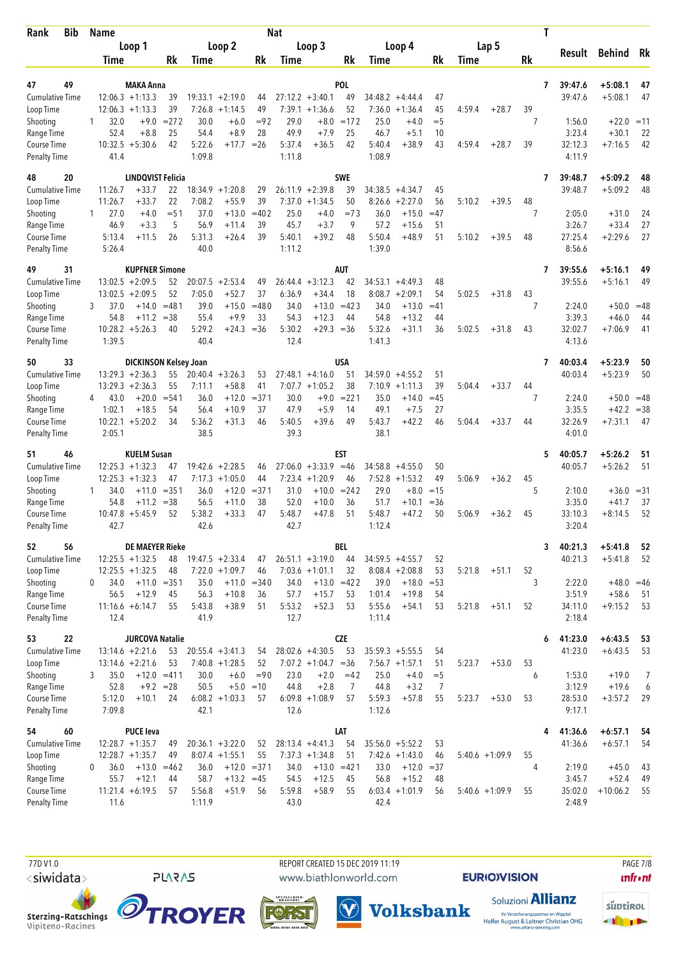| Bib<br>Rank                         | <b>Name</b>       |                                          |                     |                |                                        |                     | <b>Nat</b>       |                                       |                     |                   |                                         |              |        |                   |    | Τ |                    |                           |                |
|-------------------------------------|-------------------|------------------------------------------|---------------------|----------------|----------------------------------------|---------------------|------------------|---------------------------------------|---------------------|-------------------|-----------------------------------------|--------------|--------|-------------------|----|---|--------------------|---------------------------|----------------|
|                                     |                   | Loop 1                                   |                     |                | Loop 2                                 |                     |                  | Loop 3                                |                     |                   | Loop 4                                  |              |        | Lap 5             |    |   | Result             | Behind Rk                 |                |
|                                     | Time              |                                          | Rk                  | Time           |                                        | Rk                  | Time             |                                       | Rk                  | Time              |                                         | Rk           | Time   |                   | Rk |   |                    |                           |                |
|                                     |                   |                                          |                     |                |                                        |                     |                  |                                       |                     |                   |                                         |              |        |                   |    |   |                    |                           |                |
| 49<br>47<br><b>Cumulative Time</b>  |                   | <b>MAKA Anna</b><br>$12:06.3 +1:13.3$    | 39                  | 19:33.1        | $+2:19.0$                              | 44                  |                  | $27:12.2 +3:40.1$                     | <b>POL</b><br>49    |                   | $34:48.2 +4:44.4$                       | 47           |        |                   |    | 7 | 39:47.6<br>39:47.6 | $+5:08.1$<br>$+5:08.1$    | 47<br>47       |
| Loop Time                           |                   | $12:06.3 +1:13.3$                        | 39                  | 7:26.8         | $+1:14.5$                              | 49                  |                  | $7:39.1 +1:36.6$                      | 52                  | 7:36.0            | $+1:36.4$                               | 45           | 4:59.4 | $+28.7$           | 39 |   |                    |                           |                |
| Shooting                            | 32.0<br>1         | $+9.0$                                   | $= 272$             | 30.0           | $+6.0$                                 | $= 92$              | 29.0             | $+8.0$                                | $=172$              | 25.0              | $+4.0$                                  | $=$ 5        |        |                   | 7  |   | 1:56.0             | $+22.0$                   | $=11$          |
| Range Time                          | 52.4              | $+8.8$                                   | 25                  | 54.4           | $+8.9$                                 | 28                  | 49.9             | $+7.9$                                | 25                  | 46.7              | $+5.1$                                  | 10           |        |                   |    |   | 3:23.4             | $+30.1$                   | 22             |
| Course Time                         |                   | $10:32.5 + 5:30.6$                       | 42                  | 5:22.6         | $+17.7$                                | $=26$               | 5:37.4           | $+36.5$                               | 42                  | 5:40.4            | $+38.9$                                 | 43           | 4:59.4 | $+28.7$           | 39 |   | 32:12.3            | $+7:16.5$                 | 42             |
| <b>Penalty Time</b>                 | 41.4              |                                          |                     | 1:09.8         |                                        |                     | 1:11.8           |                                       |                     | 1:08.9            |                                         |              |        |                   |    |   | 4:11.9             |                           |                |
| 20<br>48                            |                   | <b>LINDQVIST Felicia</b>                 |                     |                |                                        |                     |                  |                                       | <b>SWE</b>          |                   |                                         |              |        |                   |    | 7 | 39:48.7            | $+5:09.2$                 | 48             |
| <b>Cumulative Time</b>              | 11:26.7           | $+33.7$                                  | 22                  | 18:34.9        | $+1:20.8$                              | 29                  |                  | $26:11.9 + 2:39.8$                    | 39                  |                   | $34:38.5 +4:34.7$                       | 45           |        |                   |    |   | 39:48.7            | $+5:09.2$                 | 48             |
| Loop Time                           | 11:26.7           | $+33.7$                                  | 22                  | 7:08.2         | $+55.9$                                | 39                  | 7:37.0           | $+1:34.5$                             | 50                  | 8:26.6            | $+2:27.0$                               | 56           | 5:10.2 | $+39.5$           | 48 |   |                    |                           |                |
| Shooting                            | 27.0<br>1         | $+4.0$                                   | $=$ 51              | 37.0           | $+13.0$                                | $=402$              | 25.0             | $+4.0$                                | $=73$               | 36.0              | $+15.0$                                 | $=47$        |        |                   | 7  |   | 2:05.0             | $+31.0$                   | 24             |
| Range Time                          | 46.9              | $+3.3$                                   | 5                   | 56.9           | $+11.4$                                | 39                  | 45.7             | $+3.7$                                | 9<br>48             | 57.2<br>5:50.4    | $+15.6$                                 | 51           |        |                   |    |   | 3:26.7             | $+33.4$                   | 27             |
| Course Time<br><b>Penalty Time</b>  | 5:13.4<br>5:26.4  | +11.5                                    | 26                  | 5:31.3<br>40.0 | $+26.4$                                | 39                  | 5:40.1<br>1:11.2 | $+39.2$                               |                     | 1:39.0            | $+48.9$                                 | 51           | 5:10.2 | $+39.5$           | 48 |   | 27:25.4<br>8:56.6  | $+2:29.6$                 | 27             |
|                                     |                   |                                          |                     |                |                                        |                     |                  |                                       |                     |                   |                                         |              |        |                   |    |   |                    |                           |                |
| 31<br>49                            |                   | <b>KUPFNER Simone</b>                    |                     |                |                                        |                     |                  |                                       | AUT                 |                   |                                         |              |        |                   |    | 7 | 39:55.6            | $+5:16.1$                 | 49             |
| <b>Cumulative Time</b><br>Loop Time |                   | $13:02.5 + 2:09.5$<br>$13:02.5 + 2:09.5$ | 52<br>52            | 7:05.0         | $20:07.5 + 2:53.4$<br>$+52.7$          | 49<br>37            | 6:36.9           | $26:44.4 + 3:12.3$<br>$+34.4$         | 42<br>18            | 34:53.1<br>8:08.7 | $+4:49.3$<br>$+2:09.1$                  | 48<br>54     | 5:02.5 | $+31.8$           | 43 |   | 39:55.6            | $+5:16.1$                 | 49             |
| Shooting                            | 37.0<br>3         | $+14.0$                                  | $=481$              | 39.0           | $+15.0$                                | $=480$              | 34.0             | $+13.0$                               | $=423$              | 34.0              | $+13.0$                                 | $=41$        |        |                   | 7  |   | 2:24.0             | $+50.0$                   | $=48$          |
| Range Time                          | 54.8              | $+11.2$                                  | $= 38$              | 55.4           | $+9.9$                                 | 33                  | 54.3             | $+12.3$                               | 44                  | 54.8              | $+13.2$                                 | 44           |        |                   |    |   | 3:39.3             | $+46.0$                   | 44             |
| Course Time                         |                   | $10:28.2 + 5:26.3$                       | 40                  | 5:29.2         | $+24.3 = 36$                           |                     | 5:30.2           | $+29.3 = 36$                          |                     | 5:32.6            | $+31.1$                                 | 36           | 5:02.5 | $+31.8$           | 43 |   | 32:02.7            | $+7:06.9$                 | 41             |
| <b>Penalty Time</b>                 | 1:39.5            |                                          |                     | 40.4           |                                        |                     | 12.4             |                                       |                     | 1:41.3            |                                         |              |        |                   |    |   | 4:13.6             |                           |                |
| 33<br>50                            |                   | DICKINSON Kelsey Joan                    |                     |                |                                        |                     |                  |                                       | USA                 |                   |                                         |              |        |                   |    | 7 | 40:03.4            | $+5:23.9$                 | 50             |
| <b>Cumulative Time</b>              |                   | $13:29.3 + 2:36.3$                       | 55                  |                | $20:40.4 + 3:26.3$                     | 53                  |                  | $27:48.1 + 4:16.0$                    | 51                  |                   | $34:59.0 +4:55.2$                       | 51           |        |                   |    |   | 40:03.4            | $+5:23.9$                 | 50             |
| Loop Time                           |                   | $13:29.3 + 2:36.3$                       | 55                  | 7:11.1         | $+58.8$                                | 41                  |                  | $7:07.7 + 1:05.2$                     | 38                  | 7:10.9            | $+1:11.3$                               | 39           | 5:04.4 | $+33.7$           | 44 |   |                    |                           |                |
| Shooting                            | 43.0<br>4         | $+20.0$                                  | $= 541$             | 36.0           | $+12.0$                                | $= 371$             | 30.0             | $+9.0$                                | $= 221$             | 35.0              | $+14.0$                                 | $=45$        |        |                   | 7  |   | 2:24.0             | $+50.0 = 48$              |                |
| Range Time<br>Course Time           | 1:02.1            | $+18.5$<br>$10:22.1 + 5:20.2$            | 54<br>34            | 56.4<br>5:36.2 | $+10.9$<br>$+31.3$                     | 37<br>46            | 47.9<br>5:40.5   | $+5.9$<br>$+39.6$                     | 14<br>49            | 49.1<br>5:43.7    | $+7.5$<br>$+42.2$                       | 27<br>46     | 5:04.4 | $+33.7$           | 44 |   | 3:35.5<br>32:26.9  | $+42.2 = 38$<br>$+7:31.1$ | 47             |
| <b>Penalty Time</b>                 | 2:05.1            |                                          |                     | 38.5           |                                        |                     | 39.3             |                                       |                     | 38.1              |                                         |              |        |                   |    |   | 4:01.0             |                           |                |
|                                     |                   |                                          |                     |                |                                        |                     |                  |                                       |                     |                   |                                         |              |        |                   |    |   |                    |                           |                |
| 51<br>46<br><b>Cumulative Time</b>  |                   | <b>KUELM Susan</b><br>$12:25.3 + 1:32.3$ | 47                  |                | $19:42.6 + 2:28.5$                     | 46                  |                  | $27:06.0 +3:33.9$                     | EST<br>$=46$        |                   | $34:58.8 + 4:55.0$                      | 50           |        |                   |    | 5 | 40:05.7<br>40:05.7 | $+5:26.2$<br>$+5:26.2$    | 51<br>51       |
| Loop Time                           |                   | $12:25.3 + 1:32.3$                       | 47                  | 7:17.3         | $+1:05.0$                              | 44                  |                  | $7:23.4 +1:20.9$                      | 46                  |                   | $7:52.8$ +1:53.2                        | 49           | 5:06.9 | $+36.2$           | 45 |   |                    |                           |                |
| Shooting                            | 34.0<br>1         | $+11.0$                                  | $= 351$             | 36.0           | $+12.0$                                | $= 371$             | 31.0             | $+10.0$                               | $= 242$             | 29.0              | $+8.0$                                  | $=15$        |        |                   | 5  |   | 2:10.0             | $+36.0 = 31$              |                |
| Range Time                          | 54.8              | +11.2                                    | $= 38$              | 56.5           | $+11.0$                                | 38                  | 52.0             | $+10.0$                               | 36                  | 51.7              | $+10.1$                                 | $= 36$       |        |                   |    |   | 3:35.0             | $+41.7$                   | 37             |
| Course Time                         |                   | $10:47.8 + 5:45.9$                       | 52                  | 5:38.2         | $+33.3$                                | 47                  | 5:48.7           | $+47.8$                               | 51                  | 5:48.7            | $+47.2$                                 | 50           | 5:06.9 | $+36.2$           | 45 |   | 33:10.3            | $+8:14.5$                 | 52             |
| <b>Penalty Time</b>                 | 42.7              |                                          |                     | 42.6           |                                        |                     | 42.7             |                                       |                     | 1:12.4            |                                         |              |        |                   |    |   | 3:20.4             |                           |                |
| 52<br>56                            |                   | <b>DE MAEYER Rieke</b>                   |                     |                |                                        |                     |                  |                                       | BEL                 |                   |                                         |              |        |                   |    | 3 | 40:21.3            | $+5:41.8$                 | 52             |
| Cumulative Time                     |                   | $12:25.5 + 1:32.5$                       | 48                  |                | $19:47.5 + 2:33.4$                     | 47                  |                  | $26:51.1 + 3:19.0$                    | 44                  |                   | $34:59.5 + 4:55.7$                      | 52           |        |                   |    |   | 40:21.3            | $+5:41.8$                 | 52             |
| Loop Time                           |                   | $12:25.5 + 1:32.5$                       | 48                  |                | $7:22.0 +1:09.7$                       | 46                  |                  | $7:03.6 +1:01.1$                      | 32                  |                   | $8:08.4 + 2:08.8$                       | 53           | 5:21.8 | $+51.1$           | 52 |   |                    |                           |                |
| Shooting<br>Range Time              | 34.0<br>0<br>56.5 | $+12.9$                                  | $+11.0 = 351$<br>45 | 35.0<br>56.3   | $+10.8$                                | $+11.0 = 340$<br>36 | 34.0<br>57.7     | $+15.7$                               | $+13.0 = 422$<br>53 | 39.0<br>1:01.4    | $+18.0$<br>$+19.8$                      | $=$ 53<br>54 |        |                   | 3  |   | 2:22.0<br>3:51.9   | $+48.0 = 46$<br>$+58.6$   | - 51           |
| Course Time                         |                   | $11:16.6 + 6:14.7$                       | 55                  | 5:43.8         | $+38.9$                                | 51                  | 5:53.2           | $+52.3$                               | 53                  | 5:55.6            | $+54.1$                                 | 53           | 5:21.8 | $+51.1$           | 52 |   | 34:11.0            | $+9:15.2$                 | - 53           |
| <b>Penalty Time</b>                 | 12.4              |                                          |                     | 41.9           |                                        |                     | 12.7             |                                       |                     | 1:11.4            |                                         |              |        |                   |    |   | 2:18.4             |                           |                |
| 22<br>53                            |                   | <b>JURCOVA Natalie</b>                   |                     |                |                                        |                     |                  |                                       | <b>CZE</b>          |                   |                                         |              |        |                   |    | 6 | 41:23.0            | $+6:43.5$                 | 53             |
| Cumulative Time                     |                   | $13:14.6 + 2:21.6$                       | 53                  |                | $20:55.4 +3:41.3$                      | 54                  |                  | $28:02.6 +4:30.5$                     | 53                  |                   | $35:59.3 + 5:55.5$                      | 54           |        |                   |    |   | 41:23.0            | $+6:43.5$                 | 53             |
| Loop Time                           |                   | $13:14.6 + 2:21.6$                       | 53                  |                | $7:40.8 +1:28.5$                       | 52                  |                  | $7:07.2 +1:04.7 = 36$                 |                     |                   | $7:56.7 + 1:57.1$                       | 51           | 5:23.7 | $+53.0$           | 53 |   |                    |                           |                |
| Shooting                            | 35.0<br>3         |                                          | $+12.0 = 411$       | 30.0           | $+6.0$                                 | $= 90$              | 23.0             | $+2.0$                                | $=42$               | 25.0              | $+4.0$                                  | $=$ 5        |        |                   | 6  |   | 1:53.0             | $+19.0$                   | $\overline{7}$ |
| Range Time                          | 52.8              |                                          | $+9.2 = 28$         | 50.5           |                                        | $+5.0 = 10$         | 44.8             | $+2.8$                                | 7                   | 44.8              | $+3.2$                                  | 7            |        |                   |    |   | 3:12.9             | $+19.6$                   | 6              |
| Course Time<br><b>Penalty Time</b>  | 5:12.0<br>7:09.8  | $+10.1$                                  | 24                  | 42.1           | $6:08.2 +1:03.3$                       | 57                  | 12.6             | $6:09.8 +1:08.9$                      | 57                  | 5:59.3<br>1:12.6  | $+57.8$                                 | 55           | 5:23.7 | $+53.0$           | 53 |   | 28:53.0<br>9:17.1  | $+3:57.2$                 | 29             |
|                                     |                   |                                          |                     |                |                                        |                     |                  |                                       |                     |                   |                                         |              |        |                   |    |   |                    |                           |                |
| 54<br>60                            |                   | <b>PUCE leva</b>                         |                     |                |                                        |                     |                  |                                       | LAT                 |                   |                                         |              |        |                   |    | 4 | 41:36.6            | $+6:57.1$                 | 54             |
| <b>Cumulative Time</b><br>Loop Time |                   | $12:28.7 + 1:35.7$<br>$12:28.7 + 1:35.7$ | 49<br>49            |                | $20:36.1 + 3:22.0$<br>$8:07.4 +1:55.1$ | 52<br>55            |                  | $28:13.4 +4:41.3$<br>$7:37.3 +1:34.8$ | 54<br>51            |                   | $35:56.0 + 5:52.2$<br>$7:42.6 + 1:43.0$ | 53<br>46     |        | $5:40.6 + 1:09.9$ | 55 |   | 41:36.6            | $+6:57.1$                 | 54             |
| Shooting                            | 36.0<br>0         | $+13.0$                                  | $=462$              | 36.0           | $+12.0 = 371$                          |                     | 34.0             | $+13.0 = 421$                         |                     | 33.0              | $+12.0$                                 | $=37$        |        |                   | 4  |   | 2:19.0             | $+45.0$                   | 43             |
| Range Time                          | 55.7              | $+12.1$                                  | 44                  | 58.7           | $+13.2 = 45$                           |                     | 54.5             | $+12.5$                               | 45                  | 56.8              | $+15.2$                                 | 48           |        |                   |    |   | 3:45.7             | $+52.4$                   | 49             |
| Course Time                         |                   | $11:21.4 + 6:19.5$                       | 57                  | 5:56.8         | $+51.9$                                | 56                  | 5:59.8           | $+58.9$                               | 55                  |                   | $6:03.4 +1:01.9$                        | 56           |        | $5:40.6 + 1:09.9$ | 55 |   | 35:02.0            | $+10:06.2$                | 55             |
| <b>Penalty Time</b>                 | 11.6              |                                          |                     | 1:11.9         |                                        |                     | 43.0             |                                       |                     | 42.4              |                                         |              |        |                   |    |   | 2:48.9             |                           |                |

 77D V1.0 REPORT CREATED 15 DEC 2019 11:19 PAGE 7/8www.biathlonworld.com

 $(\blacktriangledown)$ 

**EURIOVISION** 

Soluzioni **Allianz** 

**unfront** 



**PLARAS** 



**Volksbank** Ihr Versicherungspartner im Wipptal<br>Helfer August & Leitner Christian OHG<br>www.allianz-sterzing.com